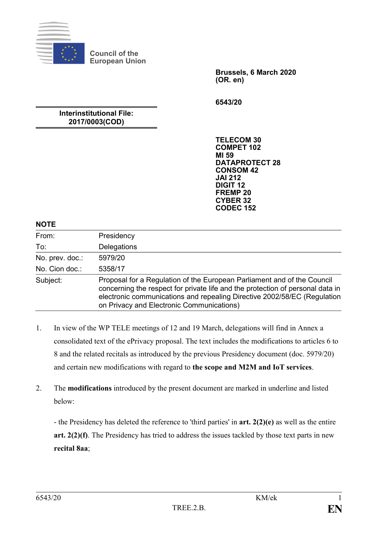

**Council of the European Union**

> **Brussels, 6 March 2020 (OR. en)**

**6543/20**

# **Interinstitutional File: 2017/0003(COD)**

**TELECOM 30 COMPET 102 MI 59 DATAPROTECT 28 CONSOM 42 JAI 212 DIGIT 12 FREMP 20 CYBER 32 CODEC 152**

## **NOTE**

| From:           | Presidency                                                                                                                                                                                                                                                                         |
|-----------------|------------------------------------------------------------------------------------------------------------------------------------------------------------------------------------------------------------------------------------------------------------------------------------|
| To:             | Delegations                                                                                                                                                                                                                                                                        |
| No. prev. doc.: | 5979/20                                                                                                                                                                                                                                                                            |
| No. Cion doc.:  | 5358/17                                                                                                                                                                                                                                                                            |
| Subject:        | Proposal for a Regulation of the European Parliament and of the Council<br>concerning the respect for private life and the protection of personal data in<br>electronic communications and repealing Directive 2002/58/EC (Regulation<br>on Privacy and Electronic Communications) |

- 1. In view of the WP TELE meetings of 12 and 19 March, delegations will find in Annex a consolidated text of the ePrivacy proposal. The text includes the modifications to articles 6 to 8 and the related recitals as introduced by the previous Presidency document (doc. 5979/20) and certain new modifications with regard to **the scope and M2M and IoT services**.
- 2. The **modifications** introduced by the present document are marked in underline and listed below:

- the Presidency has deleted the reference to 'third parties' in **art. 2(2)(e)** as well as the entire **art. 2(2)(f)**. The Presidency has tried to address the issues tackled by those text parts in new **recital 8aa**;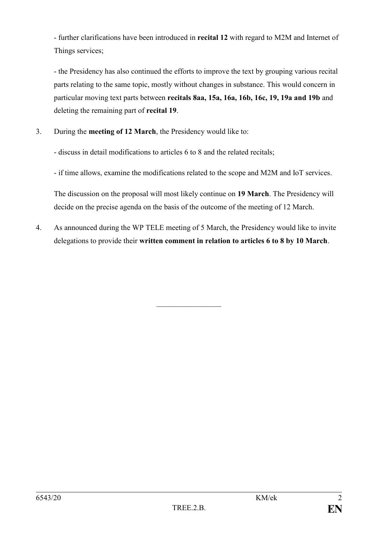- further clarifications have been introduced in **recital 12** with regard to M2M and Internet of Things services;

- the Presidency has also continued the efforts to improve the text by grouping various recital parts relating to the same topic, mostly without changes in substance. This would concern in particular moving text parts between **recitals 8aa, 15a, 16a, 16b, 16c, 19, 19a and 19b** and deleting the remaining part of **recital 19**.

3. During the **meeting of 12 March**, the Presidency would like to:

- discuss in detail modifications to articles 6 to 8 and the related recitals;

- if time allows, examine the modifications related to the scope and M2M and IoT services.

The discussion on the proposal will most likely continue on **19 March**. The Presidency will decide on the precise agenda on the basis of the outcome of the meeting of 12 March.

4. As announced during the WP TELE meeting of 5 March, the Presidency would like to invite delegations to provide their **written comment in relation to articles 6 to 8 by 10 March**.

 $\mathcal{L}_\text{max}$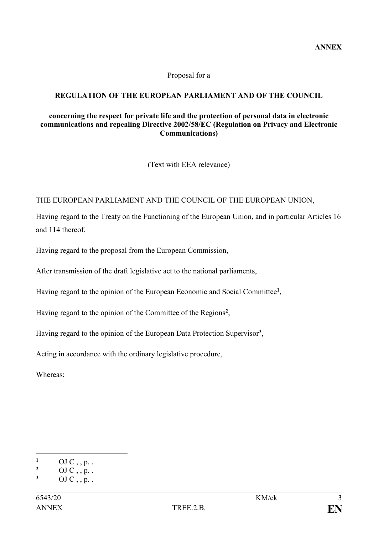#### Proposal for a

# **REGULATION OF THE EUROPEAN PARLIAMENT AND OF THE COUNCIL**

#### **concerning the respect for private life and the protection of personal data in electronic communications and repealing Directive 2002/58/EC (Regulation on Privacy and Electronic Communications)**

(Text with EEA relevance)

## THE EUROPEAN PARLIAMENT AND THE COUNCIL OF THE EUROPEAN UNION,

Having regard to the Treaty on the Functioning of the European Union, and in particular Articles 16 and 114 thereof,

Having regard to the proposal from the European Commission,

After transmission of the draft legislative act to the national parliaments,

Having regard to the opinion of the European Economic and Social Committee**<sup>1</sup>** ,

Having regard to the opinion of the Committee of the Regions**<sup>2</sup>** ,

Having regard to the opinion of the European Data Protection Supervisor**<sup>3</sup>** ,

Acting in accordance with the ordinary legislative procedure,

Whereas:

<sup>&</sup>lt;u>.</u> **1** OJ C, , p. .

 $\frac{2}{3}$  OJ C, , p. .

**<sup>3</sup>** OJ C , , p. .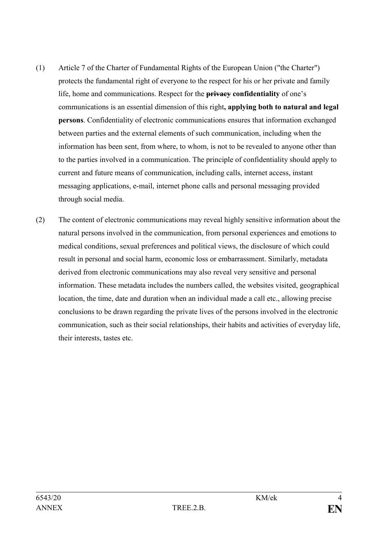- (1) Article 7 of the Charter of Fundamental Rights of the European Union ("the Charter") protects the fundamental right of everyone to the respect for his or her private and family life, home and communications. Respect for the **privacy confidentiality** of one's communications is an essential dimension of this right**, applying both to natural and legal persons**. Confidentiality of electronic communications ensures that information exchanged between parties and the external elements of such communication, including when the information has been sent, from where, to whom, is not to be revealed to anyone other than to the parties involved in a communication. The principle of confidentiality should apply to current and future means of communication, including calls, internet access, instant messaging applications, e-mail, internet phone calls and personal messaging provided through social media.
- (2) The content of electronic communications may reveal highly sensitive information about the natural persons involved in the communication, from personal experiences and emotions to medical conditions, sexual preferences and political views, the disclosure of which could result in personal and social harm, economic loss or embarrassment. Similarly, metadata derived from electronic communications may also reveal very sensitive and personal information. These metadata includes the numbers called, the websites visited, geographical location, the time, date and duration when an individual made a call etc., allowing precise conclusions to be drawn regarding the private lives of the persons involved in the electronic communication, such as their social relationships, their habits and activities of everyday life, their interests, tastes etc.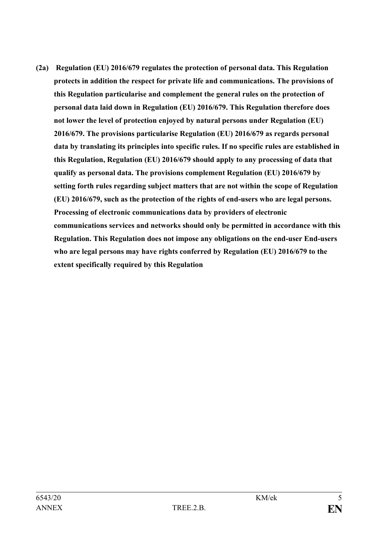**(2a) Regulation (EU) 2016/679 regulates the protection of personal data. This Regulation protects in addition the respect for private life and communications. The provisions of this Regulation particularise and complement the general rules on the protection of personal data laid down in Regulation (EU) 2016/679. This Regulation therefore does not lower the level of protection enjoyed by natural persons under Regulation (EU) 2016/679. The provisions particularise Regulation (EU) 2016/679 as regards personal data by translating its principles into specific rules. If no specific rules are established in this Regulation, Regulation (EU) 2016/679 should apply to any processing of data that qualify as personal data. The provisions complement Regulation (EU) 2016/679 by setting forth rules regarding subject matters that are not within the scope of Regulation (EU) 2016/679, such as the protection of the rights of end-users who are legal persons. Processing of electronic communications data by providers of electronic communications services and networks should only be permitted in accordance with this Regulation. This Regulation does not impose any obligations on the end-user End-users who are legal persons may have rights conferred by Regulation (EU) 2016/679 to the extent specifically required by this Regulation**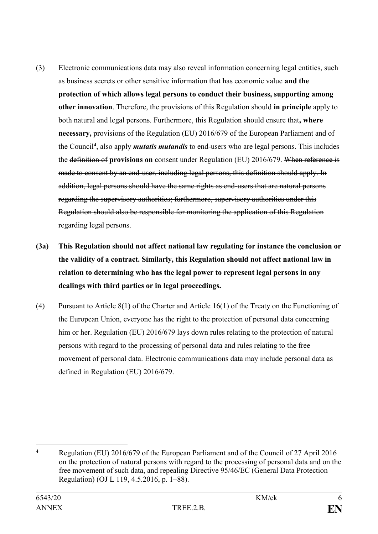- (3) Electronic communications data may also reveal information concerning legal entities, such as business secrets or other sensitive information that has economic value **and the protection of which allows legal persons to conduct their business, supporting among other innovation**. Therefore, the provisions of this Regulation should **in principle** apply to both natural and legal persons. Furthermore, this Regulation should ensure that**, where necessary,** provisions of the Regulation (EU) 2016/679 of the European Parliament and of the Council**<sup>4</sup>** , also apply *mutatis mutandis* to end-users who are legal persons. This includes the definition of **provisions on** consent under Regulation (EU) 2016/679. When reference is made to consent by an end-user, including legal persons, this definition should apply. In addition, legal persons should have the same rights as end-users that are natural persons regarding the supervisory authorities; furthermore, supervisory authorities under this Regulation should also be responsible for monitoring the application of this Regulation regarding legal persons.
- **(3a) This Regulation should not affect national law regulating for instance the conclusion or the validity of a contract. Similarly, this Regulation should not affect national law in relation to determining who has the legal power to represent legal persons in any dealings with third parties or in legal proceedings.**
- (4) Pursuant to Article 8(1) of the Charter and Article 16(1) of the Treaty on the Functioning of the European Union, everyone has the right to the protection of personal data concerning him or her. Regulation (EU) 2016/679 lays down rules relating to the protection of natural persons with regard to the processing of personal data and rules relating to the free movement of personal data. Electronic communications data may include personal data as defined in Regulation (EU) 2016/679.

<sup>1</sup> **<sup>4</sup>** Regulation (EU) 2016/679 of the European Parliament and of the Council of 27 April 2016 on the protection of natural persons with regard to the processing of personal data and on the free movement of such data, and repealing Directive 95/46/EC (General Data Protection Regulation) (OJ L 119, 4.5.2016, p. 1–88).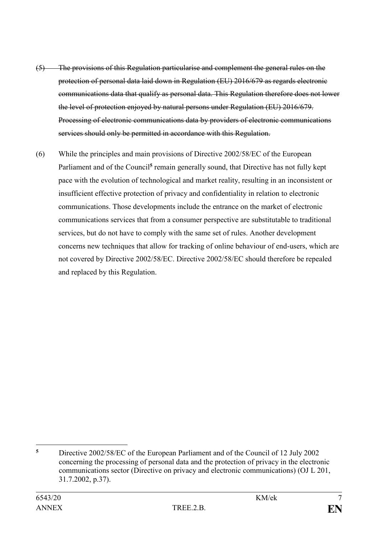- (5) The provisions of this Regulation particularise and complement the general rules on the protection of personal data laid down in Regulation (EU) 2016/679 as regards electronic communications data that qualify as personal data. This Regulation therefore does not lower the level of protection enjoyed by natural persons under Regulation (EU) 2016/679. Processing of electronic communications data by providers of electronic communications services should only be permitted in accordance with this Regulation.
- (6) While the principles and main provisions of Directive 2002/58/EC of the European Parliament and of the Council<sup>5</sup> remain generally sound, that Directive has not fully kept pace with the evolution of technological and market reality, resulting in an inconsistent or insufficient effective protection of privacy and confidentiality in relation to electronic communications. Those developments include the entrance on the market of electronic communications services that from a consumer perspective are substitutable to traditional services, but do not have to comply with the same set of rules. Another development concerns new techniques that allow for tracking of online behaviour of end-users, which are not covered by Directive 2002/58/EC. Directive 2002/58/EC should therefore be repealed and replaced by this Regulation.

 $\overline{5}$ **<sup>5</sup>** Directive 2002/58/EC of the European Parliament and of the Council of 12 July 2002 concerning the processing of personal data and the protection of privacy in the electronic communications sector (Directive on privacy and electronic communications) (OJ L 201, 31.7.2002, p.37).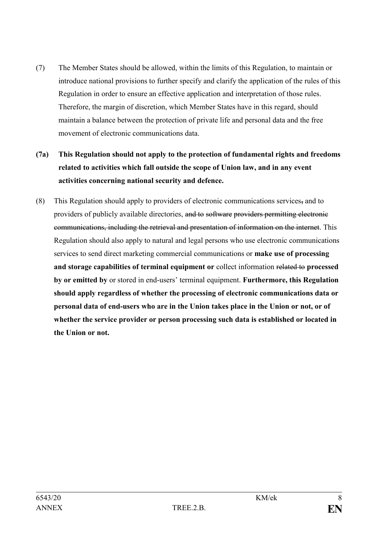- (7) The Member States should be allowed, within the limits of this Regulation, to maintain or introduce national provisions to further specify and clarify the application of the rules of this Regulation in order to ensure an effective application and interpretation of those rules. Therefore, the margin of discretion, which Member States have in this regard, should maintain a balance between the protection of private life and personal data and the free movement of electronic communications data.
- **(7a) This Regulation should not apply to the protection of fundamental rights and freedoms related to activities which fall outside the scope of Union law, and in any event activities concerning national security and defence.**
- (8) This Regulation should apply to providers of electronic communications services, and to providers of publicly available directories, and to software providers permitting electronic communications, including the retrieval and presentation of information on the internet. This Regulation should also apply to natural and legal persons who use electronic communications services to send direct marketing commercial communications or **make use of processing and storage capabilities of terminal equipment or** collect information related to **processed by or emitted by** or stored in end-users' terminal equipment. **Furthermore, this Regulation should apply regardless of whether the processing of electronic communications data or personal data of end-users who are in the Union takes place in the Union or not, or of whether the service provider or person processing such data is established or located in the Union or not.**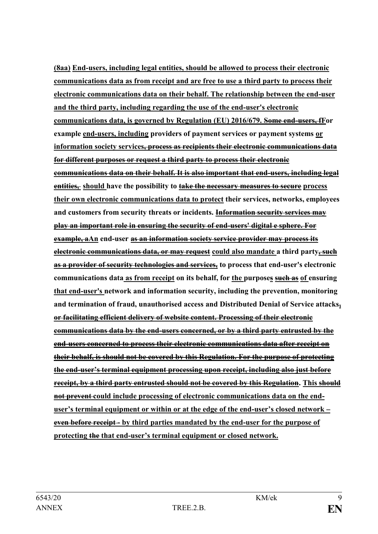**(8aa) End-users, including legal entities, should be allowed to process their electronic communications data as from receipt and are free to use a third party to process their electronic communications data on their behalf. The relationship between the end-user and the third party, including regarding the use of the end-user's electronic communications data, is governed by Regulation (EU) 2016/679. Some end-users, fFor example end-users, including providers of payment services or payment systems or information society services, process as recipients their electronic communications data for different purposes or request a third party to process their electronic communications data on their behalf. It is also important that end-users, including legal entities, should have the possibility to take the necessary measures to secure process their own electronic communications data to protect their services, networks, employees and customers from security threats or incidents. Information security services may play an important role in ensuring the security of end-users' digital e sphere. For example, aAn end-user as an information society service provider may process its electronic communications data, or may request could also mandate a third party, such as a provider of security technologies and services, to process that end-user's electronic communications data as from receipt on its behalf, for the purposes such as of ensuring that end-user's network and information security, including the prevention, monitoring and termination of fraud, unauthorised access and Distributed Denial of Service attacks, or facilitating efficient delivery of website content. Processing of their electronic communications data by the end-users concerned, or by a third party entrusted by the end-users concerned to process their electronic communications data after receipt on their behalf, is should not be covered by this Regulation. For the purpose of protecting the end-user's terminal equipment processing upon receipt, including also just before receipt, by a third party entrusted should not be covered by this Regulation. This should not prevent could include processing of electronic communications data on the enduser's terminal equipment or within or at the edge of the end-user's closed network – even before receipt - by third parties mandated by the end-user for the purpose of protecting the that end-user's terminal equipment or closed network.**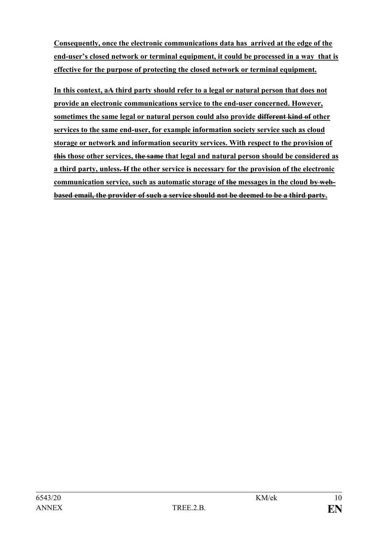**Consequently, once the electronic communications data has arrived at the edge of the end-user's closed network or terminal equipment, it could be processed in a way that is effective for the purpose of protecting the closed network or terminal equipment.**

**In this context, aA third party should refer to a legal or natural person that does not provide an electronic communications service to the end-user concerned. However, sometimes the same legal or natural person could also provide different kind of other services to the same end-user, for example information society service such as cloud storage or network and information security services. With respect to the provision of this those other services, the same that legal and natural person should be considered as a third party, unless. If the other service is necessary for the provision of the electronic communication service, such as automatic storage of the messages in the cloud by webbased email, the provider of such a service should not be deemed to be a third party.**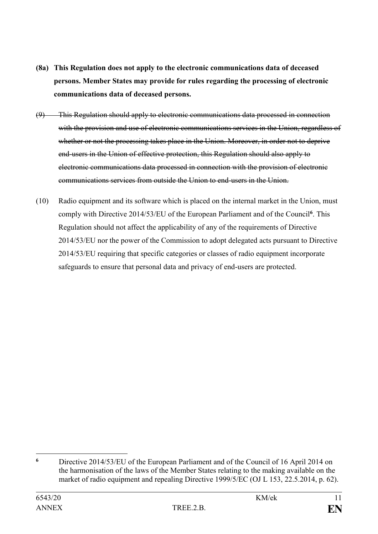- **(8a) This Regulation does not apply to the electronic communications data of deceased persons. Member States may provide for rules regarding the processing of electronic communications data of deceased persons.**
- (9) This Regulation should apply to electronic communications data processed in connection with the provision and use of electronic communications services in the Union, regardless of whether or not the processing takes place in the Union. Moreover, in order not to deprive end-users in the Union of effective protection, this Regulation should also apply to electronic communications data processed in connection with the provision of electronic communications services from outside the Union to end-users in the Union.
- (10) Radio equipment and its software which is placed on the internal market in the Union, must comply with Directive 2014/53/EU of the European Parliament and of the Council**<sup>6</sup>** . This Regulation should not affect the applicability of any of the requirements of Directive 2014/53/EU nor the power of the Commission to adopt delegated acts pursuant to Directive 2014/53/EU requiring that specific categories or classes of radio equipment incorporate safeguards to ensure that personal data and privacy of end-users are protected.

<u>.</u>

**<sup>6</sup>** Directive 2014/53/EU of the European Parliament and of the Council of 16 April 2014 on the harmonisation of the laws of the Member States relating to the making available on the market of radio equipment and repealing Directive 1999/5/EC (OJ L 153, 22.5.2014, p. 62).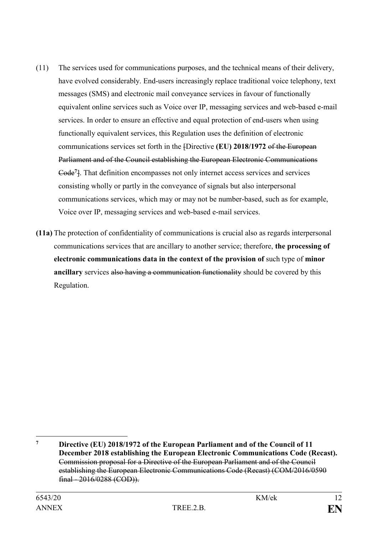- (11) The services used for communications purposes, and the technical means of their delivery, have evolved considerably. End-users increasingly replace traditional voice telephony, text messages (SMS) and electronic mail conveyance services in favour of functionally equivalent online services such as Voice over IP, messaging services and web-based e-mail services. In order to ensure an effective and equal protection of end-users when using functionally equivalent services, this Regulation uses the definition of electronic communications services set forth in the [Directive **(EU) 2018/1972** of the European Parliament and of the Council establishing the European Electronic Communications Code**<sup>7</sup>** ]. That definition encompasses not only internet access services and services consisting wholly or partly in the conveyance of signals but also interpersonal communications services, which may or may not be number-based, such as for example, Voice over IP, messaging services and web-based e-mail services.
- **(11a)** The protection of confidentiality of communications is crucial also as regards interpersonal communications services that are ancillary to another service; therefore, **the processing of electronic communications data in the context of the provision of** such type of **minor ancillary** services also having a communication functionality should be covered by this Regulation.

1

**<sup>7</sup> Directive (EU) 2018/1972 of the European Parliament and of the Council of 11 December 2018 establishing the European Electronic Communications Code (Recast).** Commission proposal for a Directive of the European Parliament and of the Council establishing the European Electronic Communications Code (Recast) (COM/2016/0590 final - 2016/0288 (COD)).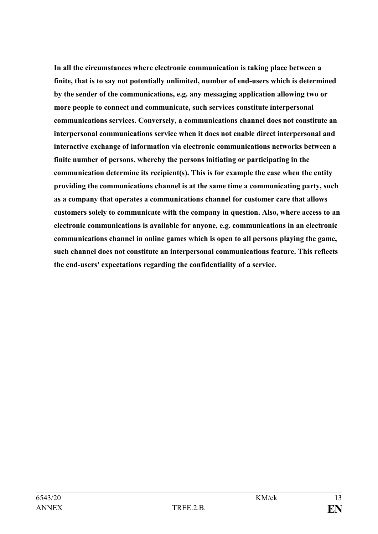**In all the circumstances where electronic communication is taking place between a finite, that is to say not potentially unlimited, number of end-users which is determined by the sender of the communications, e.g. any messaging application allowing two or more people to connect and communicate, such services constitute interpersonal communications services. Conversely, a communications channel does not constitute an interpersonal communications service when it does not enable direct interpersonal and interactive exchange of information via electronic communications networks between a finite number of persons, whereby the persons initiating or participating in the communication determine its recipient(s). This is for example the case when the entity providing the communications channel is at the same time a communicating party, such as a company that operates a communications channel for customer care that allows customers solely to communicate with the company in question. Also, where access to an electronic communications is available for anyone, e.g. communications in an electronic communications channel in online games which is open to all persons playing the game, such channel does not constitute an interpersonal communications feature. This reflects the end-users' expectations regarding the confidentiality of a service.**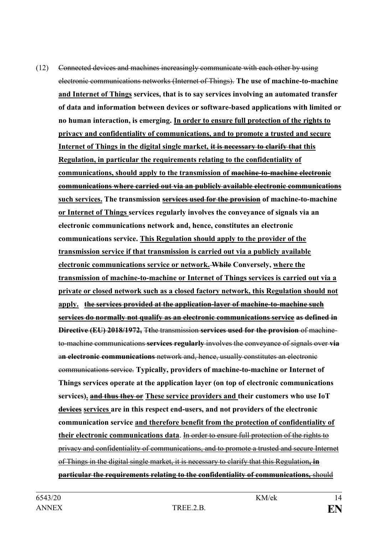(12) Connected devices and machines increasingly communicate with each other by using electronic communications networks (Internet of Things). **The use of machine-to-machine and Internet of Things services, that is to say services involving an automated transfer of data and information between devices or software-based applications with limited or no human interaction, is emerging. In order to ensure full protection of the rights to privacy and confidentiality of communications, and to promote a trusted and secure Internet of Things in the digital single market, it is necessary to clarify that this Regulation, in particular the requirements relating to the confidentiality of communications, should apply to the transmission of machine-to-machine electronic communications where carried out via an publicly available electronic communications such services. The transmission services used for the provision of machine-to-machine or Internet of Things services regularly involves the conveyance of signals via an electronic communications network and, hence, constitutes an electronic communications service. This Regulation should apply to the provider of the transmission service if that transmission is carried out via a publicly available electronic communications service or network. While Conversely, where the transmission of machine-to-machine or Internet of Things services is carried out via a private or closed network such as a closed factory network, this Regulation should not apply. the services provided at the application-layer of machine-to-machine such services do normally not qualify as an electronic communications service as defined in Directive (EU) 2018/1972,** T**t**he transmission **services used for the provision** of machineto-machine communications **services regularly** involves the conveyance of signals over **via** a**n electronic communications** network and, hence, usually constitutes an electronic communications service. **Typically, providers of machine-to-machine or Internet of Things services operate at the application layer (on top of electronic communications services). and thus they or These service providers and their customers who use IoT devices services are in this respect end-users, and not providers of the electronic communication service and therefore benefit from the protection of confidentiality of their electronic communications data**. In order to ensure full protection of the rights to privacy and confidentiality of communications, and to promote a trusted and secure Internet of Things in the digital single market, it is necessary to clarify that this Regulation**, in particular the requirements relating to the confidentiality of communications,** should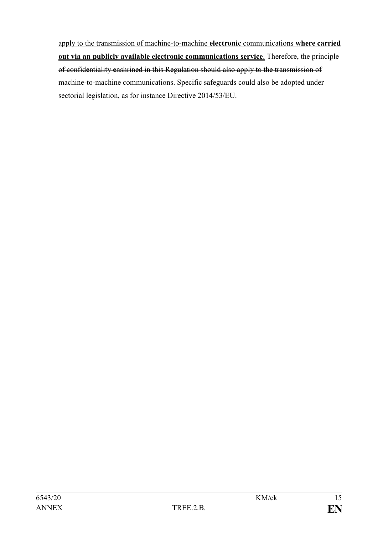apply to the transmission of machine-to-machine **electronic** communications **where carried out via an publicly available electronic communications service**. Therefore, the principle of confidentiality enshrined in this Regulation should also apply to the transmission of machine-to-machine communications. Specific safeguards could also be adopted under sectorial legislation, as for instance Directive 2014/53/EU.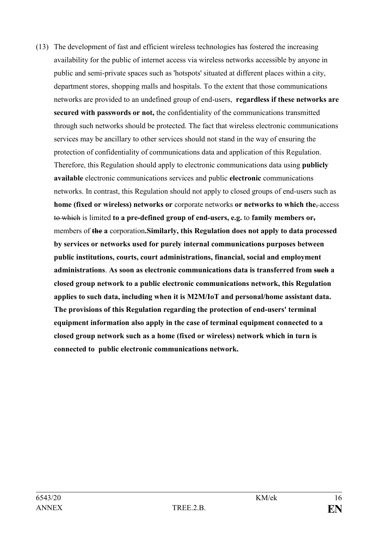(13) The development of fast and efficient wireless technologies has fostered the increasing availability for the public of internet access via wireless networks accessible by anyone in public and semi-private spaces such as 'hotspots' situated at different places within a city, department stores, shopping malls and hospitals. To the extent that those communications networks are provided to an undefined group of end-users, **regardless if these networks are secured with passwords or not,** the confidentiality of the communications transmitted through such networks should be protected. The fact that wireless electronic communications services may be ancillary to other services should not stand in the way of ensuring the protection of confidentiality of communications data and application of this Regulation. Therefore, this Regulation should apply to electronic communications data using **publicly available** electronic communications services and public **electronic** communications networks. In contrast, this Regulation should not apply to closed groups of end-users such as **home (fixed or wireless) networks or** corporate networks **or networks to which the**, access to which is limited **to a pre-defined group of end-users, e.g.** to **family members or,** members of **the a** corporation**.Similarly, this Regulation does not apply to data processed by services or networks used for purely internal communications purposes between public institutions, courts, court administrations, financial, social and employment administrations**. **As soon as electronic communications data is transferred from such a closed group network to a public electronic communications network, this Regulation applies to such data, including when it is M2M/IoT and personal/home assistant data. The provisions of this Regulation regarding the protection of end-users' terminal equipment information also apply in the case of terminal equipment connected to a closed group network such as a home (fixed or wireless) network which in turn is connected to public electronic communications network.**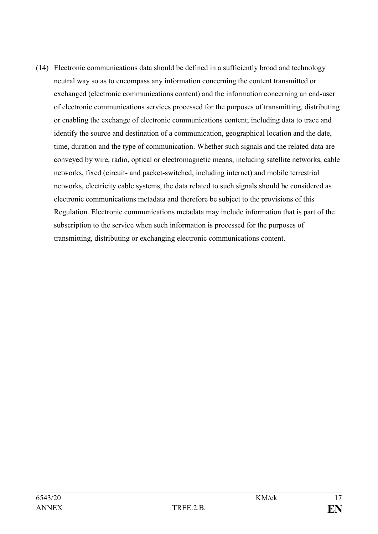(14) Electronic communications data should be defined in a sufficiently broad and technology neutral way so as to encompass any information concerning the content transmitted or exchanged (electronic communications content) and the information concerning an end-user of electronic communications services processed for the purposes of transmitting, distributing or enabling the exchange of electronic communications content; including data to trace and identify the source and destination of a communication, geographical location and the date, time, duration and the type of communication. Whether such signals and the related data are conveyed by wire, radio, optical or electromagnetic means, including satellite networks, cable networks, fixed (circuit- and packet-switched, including internet) and mobile terrestrial networks, electricity cable systems, the data related to such signals should be considered as electronic communications metadata and therefore be subject to the provisions of this Regulation. Electronic communications metadata may include information that is part of the subscription to the service when such information is processed for the purposes of transmitting, distributing or exchanging electronic communications content.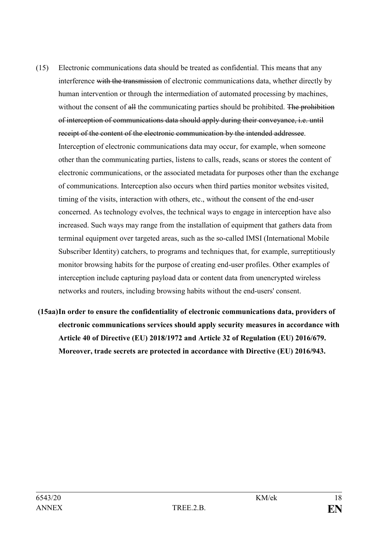- (15) Electronic communications data should be treated as confidential. This means that any interference with the transmission of electronic communications data, whether directly by human intervention or through the intermediation of automated processing by machines, without the consent of all the communicating parties should be prohibited. The prohibition of interception of communications data should apply during their conveyance, i.e. until receipt of the content of the electronic communication by the intended addressee. Interception of electronic communications data may occur, for example, when someone other than the communicating parties, listens to calls, reads, scans or stores the content of electronic communications, or the associated metadata for purposes other than the exchange of communications. Interception also occurs when third parties monitor websites visited, timing of the visits, interaction with others, etc., without the consent of the end-user concerned. As technology evolves, the technical ways to engage in interception have also increased. Such ways may range from the installation of equipment that gathers data from terminal equipment over targeted areas, such as the so-called IMSI (International Mobile Subscriber Identity) catchers, to programs and techniques that, for example, surreptitiously monitor browsing habits for the purpose of creating end-user profiles. Other examples of interception include capturing payload data or content data from unencrypted wireless networks and routers, including browsing habits without the end-users' consent.
- **(15aa)In order to ensure the confidentiality of electronic communications data, providers of electronic communications services should apply security measures in accordance with Article 40 of Directive (EU) 2018/1972 and Article 32 of Regulation (EU) 2016/679. Moreover, trade secrets are protected in accordance with Directive (EU) 2016/943.**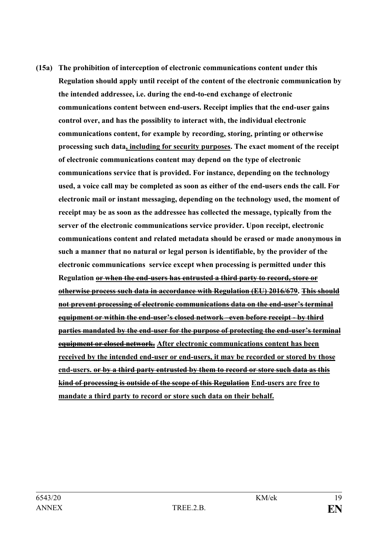**(15a) The prohibition of interception of electronic communications content under this Regulation should apply until receipt of the content of the electronic communication by the intended addressee, i.e. during the end-to-end exchange of electronic communications content between end-users. Receipt implies that the end-user gains control over, and has the possiblity to interact with, the individual electronic communications content, for example by recording, storing, printing or otherwise processing such data, including for security purposes. The exact moment of the receipt of electronic communications content may depend on the type of electronic communications service that is provided. For instance, depending on the technology used, a voice call may be completed as soon as either of the end-users ends the call. For electronic mail or instant messaging, depending on the technology used, the moment of receipt may be as soon as the addressee has collected the message, typically from the server of the electronic communications service provider. Upon receipt, electronic communications content and related metadata should be erased or made anonymous in such a manner that no natural or legal person is identifiable, by the provider of the electronic communications service except when processing is permitted under this Regulation or when the end-users has entrusted a third party to record, store or otherwise process such data in accordance with Regulation (EU) 2016/679. This should not prevent processing of electronic communications data on the end-user's terminal equipment or within the end-user's closed network –even before receipt - by third parties mandated by the end-user for the purpose of protecting the end-user's terminal equipment or closed network. After electronic communications content has been received by the intended end-user or end-users, it may be recorded or stored by those end-users. or by a third party entrusted by them to record or store such data as this kind of processing is outside of the scope of this Regulation End-users are free to mandate a third party to record or store such data on their behalf.**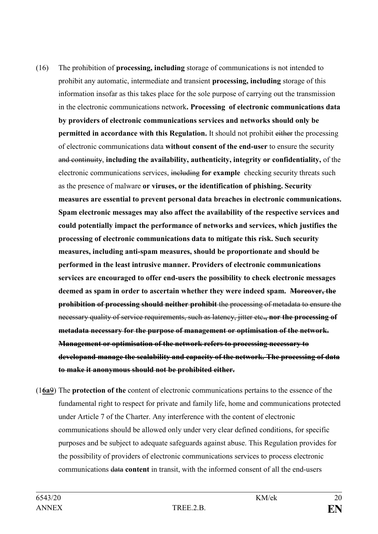- (16) The prohibition of **processing, including** storage of communications is not intended to prohibit any automatic, intermediate and transient **processing, including** storage of this information insofar as this takes place for the sole purpose of carrying out the transmission in the electronic communications network**. Processing of electronic communications data by providers of electronic communications services and networks should only be permitted in accordance with this Regulation.** It should not prohibit either the processing of electronic communications data **without consent of the end-user** to ensure the security and continuity, **including the availability, authenticity, integrity or confidentiality,** of the electronic communications services, including **for example** checking security threats such as the presence of malware **or viruses, or the identification of phishing. Security measures are essential to prevent personal data breaches in electronic communications. Spam electronic messages may also affect the availability of the respective services and could potentially impact the performance of networks and services, which justifies the processing of electronic communications data to mitigate this risk. Such security measures, including anti-spam measures, should be proportionate and should be performed in the least intrusive manner. Providers of electronic communications services are encouraged to offer end-users the possibility to check electronic messages deemed as spam in order to ascertain whether they were indeed spam. Moreover, the prohibition of processing should neither prohibit** the processing of metadata to ensure the necessary quality of service requirements, such as latency, jitter etc**., nor the processing of metadata necessary for the purpose of management or optimisation of the network. Management or optimisation of the network refers to processing necessary to developand manage the scalability and capacity of the network. The processing of data to make it anonymous should not be prohibited either.**
- (1**6a**9) The **protection of the** content of electronic communications pertains to the essence of the fundamental right to respect for private and family life, home and communications protected under Article 7 of the Charter. Any interference with the content of electronic communications should be allowed only under very clear defined conditions, for specific purposes and be subject to adequate safeguards against abuse. This Regulation provides for the possibility of providers of electronic communications services to process electronic communications data **content** in transit, with the informed consent of all the end-users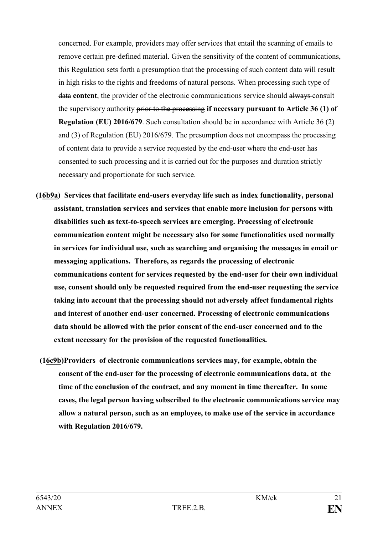concerned. For example, providers may offer services that entail the scanning of emails to remove certain pre-defined material. Given the sensitivity of the content of communications, this Regulation sets forth a presumption that the processing of such content data will result in high risks to the rights and freedoms of natural persons. When processing such type of data **content**, the provider of the electronic communications service should always consult the supervisory authority prior to the processing **if necessary pursuant to Article 36 (1) of Regulation (EU) 2016/679**. Such consultation should be in accordance with Article 36 (2) and (3) of Regulation (EU) 2016/679. The presumption does not encompass the processing of content data to provide a service requested by the end-user where the end-user has consented to such processing and it is carried out for the purposes and duration strictly necessary and proportionate for such service.

- **(16b9a) Services that facilitate end-users everyday life such as index functionality, personal assistant, translation services and services that enable more inclusion for persons with disabilities such as text-to-speech services are emerging. Processing of electronic communication content might be necessary also for some functionalities used normally in services for individual use, such as searching and organising the messages in email or messaging applications. Therefore, as regards the processing of electronic communications content for services requested by the end-user for their own individual use, consent should only be requested required from the end-user requesting the service taking into account that the processing should not adversely affect fundamental rights and interest of another end-user concerned. Processing of electronic communications data should be allowed with the prior consent of the end-user concerned and to the extent necessary for the provision of the requested functionalities.**
	- **(16c9b)Providers of electronic communications services may, for example, obtain the consent of the end-user for the processing of electronic communications data, at the time of the conclusion of the contract, and any moment in time thereafter. In some cases, the legal person having subscribed to the electronic communications service may allow a natural person, such as an employee, to make use of the service in accordance with Regulation 2016/679.**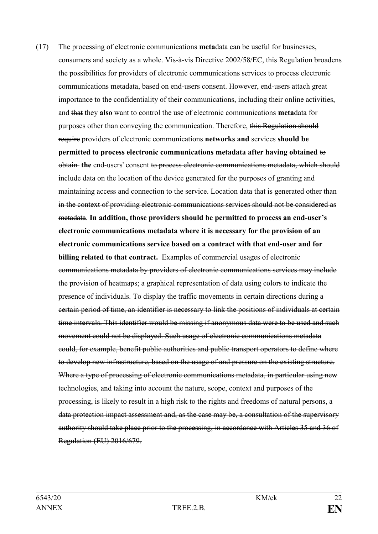(17) The processing of electronic communications **meta**data can be useful for businesses, consumers and society as a whole. Vis-à-vis Directive 2002/58/EC, this Regulation broadens the possibilities for providers of electronic communications services to process electronic communications metadata, based on end-users consent. However, end-users attach great importance to the confidentiality of their communications, including their online activities, and that they **also** want to control the use of electronic communications **meta**data for purposes other than conveying the communication. Therefore, this Regulation should require providers of electronic communications **networks and** services **should be permitted to process electronic communications metadata after having obtained** to obtain **the** end-users' consent to process electronic communications metadata, which should include data on the location of the device generated for the purposes of granting and maintaining access and connection to the service. Location data that is generated other than in the context of providing electronic communications services should not be considered as metadata. **In addition, those providers should be permitted to process an end-user's electronic communications metadata where it is necessary for the provision of an electronic communications service based on a contract with that end-user and for billing related to that contract.** Examples of commercial usages of electronic communications metadata by providers of electronic communications services may include the provision of heatmaps; a graphical representation of data using colors to indicate the presence of individuals. To display the traffic movements in certain directions during a certain period of time, an identifier is necessary to link the positions of individuals at certain time intervals. This identifier would be missing if anonymous data were to be used and such movement could not be displayed. Such usage of electronic communications metadata could, for example, benefit public authorities and public transport operators to define where to develop new infrastructure, based on the usage of and pressure on the existing structure. Where a type of processing of electronic communications metadata, in particular using new technologies, and taking into account the nature, scope, context and purposes of the processing, is likely to result in a high risk to the rights and freedoms of natural persons, a data protection impact assessment and, as the case may be, a consultation of the supervisory authority should take place prior to the processing, in accordance with Articles 35 and 36 of Regulation (EU) 2016/679.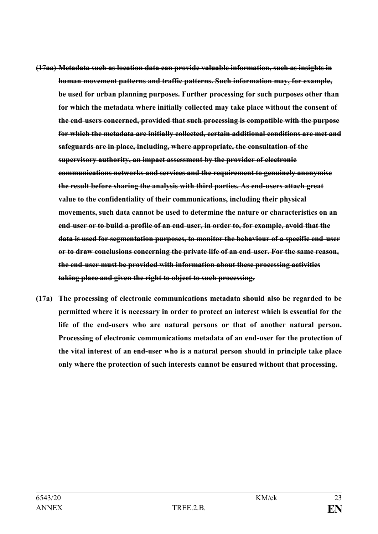- **(17aa) Metadata such as location data can provide valuable information, such as insights in human movement patterns and traffic patterns. Such information may, for example, be used for urban planning purposes. Further processing for such purposes other than for which the metadata where initially collected may take place without the consent of the end-users concerned, provided that such processing is compatible with the purpose for which the metadata are initially collected, certain additional conditions are met and safeguards are in place, including, where appropriate, the consultation of the supervisory authority, an impact assessment by the provider of electronic communications networks and services and the requirement to genuinely anonymise the result before sharing the analysis with third parties. As end-users attach great value to the confidentiality of their communications, including their physical movements, such data cannot be used to determine the nature or characteristics on an end-user or to build a profile of an end-user, in order to, for example, avoid that the data is used for segmentation purposes, to monitor the behaviour of a specific end-user or to draw conclusions concerning the private life of an end-user. For the same reason, the end-user must be provided with information about these processing activities taking place and given the right to object to such processing.**
- **(17a) The processing of electronic communications metadata should also be regarded to be permitted where it is necessary in order to protect an interest which is essential for the life of the end-users who are natural persons or that of another natural person. Processing of electronic communications metadata of an end-user for the protection of the vital interest of an end-user who is a natural person should in principle take place only where the protection of such interests cannot be ensured without that processing.**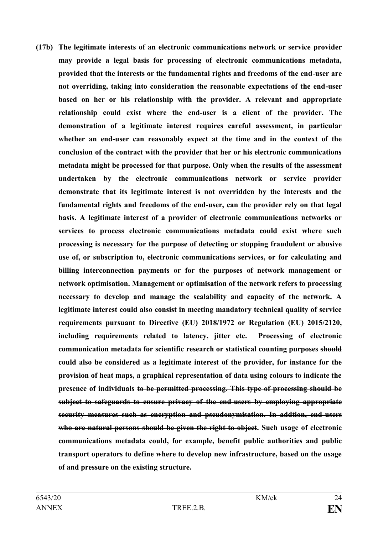**(17b) The legitimate interests of an electronic communications network or service provider may provide a legal basis for processing of electronic communications metadata, provided that the interests or the fundamental rights and freedoms of the end-user are not overriding, taking into consideration the reasonable expectations of the end-user based on her or his relationship with the provider. A relevant and appropriate relationship could exist where the end-user is a client of the provider. The demonstration of a legitimate interest requires careful assessment, in particular whether an end-user can reasonably expect at the time and in the context of the conclusion of the contract with the provider that her or his electronic communications metadata might be processed for that purpose. Only when the results of the assessment undertaken by the electronic communications network or service provider demonstrate that its legitimate interest is not overridden by the interests and the fundamental rights and freedoms of the end-user, can the provider rely on that legal basis. A legitimate interest of a provider of electronic communications networks or services to process electronic communications metadata could exist where such processing is necessary for the purpose of detecting or stopping fraudulent or abusive use of, or subscription to, electronic communications services, or for calculating and billing interconnection payments or for the purposes of network management or network optimisation. Management or optimisation of the network refers to processing necessary to develop and manage the scalability and capacity of the network. A legitimate interest could also consist in meeting mandatory technical quality of service requirements pursuant to Directive (EU) 2018/1972 or Regulation (EU) 2015/2120, including requirements related to latency, jitter etc. Processing of electronic communication metadata for scientific research or statistical counting purposes should could also be considered as a legitimate interest of the provider, for instance for the provision of heat maps, a graphical representation of data using colours to indicate the presence of individuals to be permitted processing. This type of processing should be subject to safeguards to ensure privacy of the end-users by employing appropriate security measures such as encryption and pseudonymisation. In addtion, end-users who are natural persons should be given the right to object. Such usage of electronic communications metadata could, for example, benefit public authorities and public transport operators to define where to develop new infrastructure, based on the usage of and pressure on the existing structure.**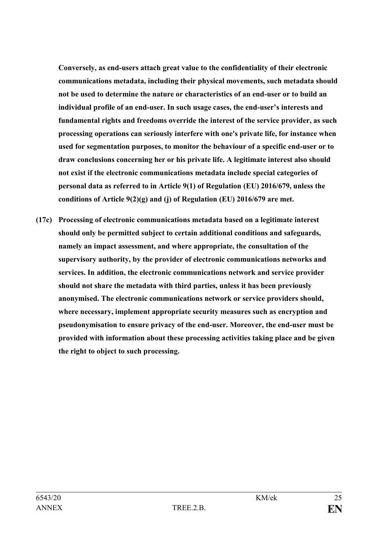**Conversely, as end-users attach great value to the confidentiality of their electronic communications metadata, including their physical movements, such metadata should not be used to determine the nature or characteristics of an end-user or to build an individual profile of an end-user. In such usage cases, the end-user's interests and fundamental rights and freedoms override the interest of the service provider, as such processing operations can seriously interfere with one's private life, for instance when used for segmentation purposes, to monitor the behaviour of a specific end-user or to draw conclusions concerning her or his private life. A legitimate interest also should not exist if the electronic communications metadata include special categories of personal data as referred to in Article 9(1) of Regulation (EU) 2016/679, unless the conditions of Article 9(2)(g) and (j) of Regulation (EU) 2016/679 are met.**

**(17c) Processing of electronic communications metadata based on a legitimate interest should only be permitted subject to certain additional conditions and safeguards, namely an impact assessment, and where appropriate, the consultation of the supervisory authority, by the provider of electronic communications networks and services. In addition, the electronic communications network and service provider should not share the metadata with third parties, unless it has been previously anonymised. The electronic communications network or service providers should, where necessary, implement appropriate security measures such as encryption and pseudonymisation to ensure privacy of the end-user. Moreover, the end-user must be provided with information about these processing activities taking place and be given the right to object to such processing.**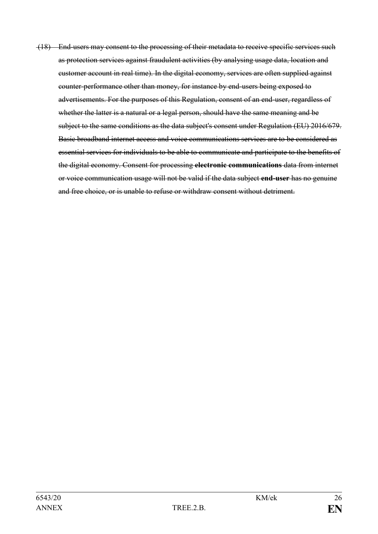(18) End-users may consent to the processing of their metadata to receive specific services such as protection services against fraudulent activities (by analysing usage data, location and customer account in real time). In the digital economy, services are often supplied against counter-performance other than money, for instance by end-users being exposed to advertisements. For the purposes of this Regulation, consent of an end-user, regardless of whether the latter is a natural or a legal person, should have the same meaning and be subject to the same conditions as the data subject's consent under Regulation (EU) 2016/679. Basic broadband internet access and voice communications services are to be considered as essential services for individuals to be able to communicate and participate to the benefits of the digital economy. Consent for processing **electronic communications** data from internet or voice communication usage will not be valid if the data subject **end-user** has no genuine and free choice, or is unable to refuse or withdraw consent without detriment.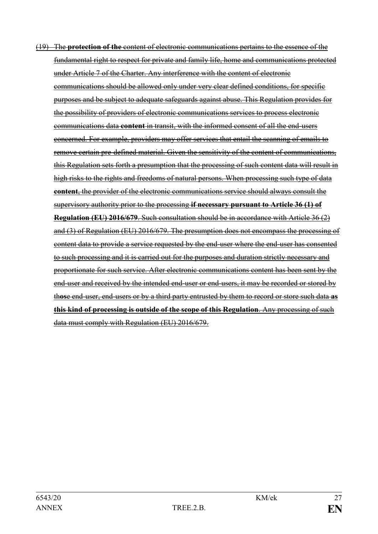(19) The **protection of the** content of electronic communications pertains to the essence of the fundamental right to respect for private and family life, home and communications protected under Article 7 of the Charter. Any interference with the content of electronic communications should be allowed only under very clear defined conditions, for specific purposes and be subject to adequate safeguards against abuse. This Regulation provides for the possibility of providers of electronic communications services to process electronic communications data **content** in transit, with the informed consent of all the end-users concerned. For example, providers may offer services that entail the scanning of emails to remove certain pre-defined material. Given the sensitivity of the content of communications, this Regulation sets forth a presumption that the processing of such content data will result in high risks to the rights and freedoms of natural persons. When processing such type of data **content**, the provider of the electronic communications service should always consult the supervisory authority prior to the processing **if necessary pursuant to Article 36 (1) of Regulation (EU) 2016/679**. Such consultation should be in accordance with Article 36 (2) and (3) of Regulation (EU) 2016/679. The presumption does not encompass the processing of content data to provide a service requested by the end-user where the end-user has consented to such processing and it is carried out for the purposes and duration strictly necessary and proportionate for such service. After electronic communications content has been sent by the end-user and received by the intended end-user or end-users, it may be recorded or stored by th**os**e end-user, end-users or by a third party entrusted by them to record or store such data **as this kind of processing is outside of the scope of this Regulation**. Any processing of such data must comply with Regulation (EU) 2016/679.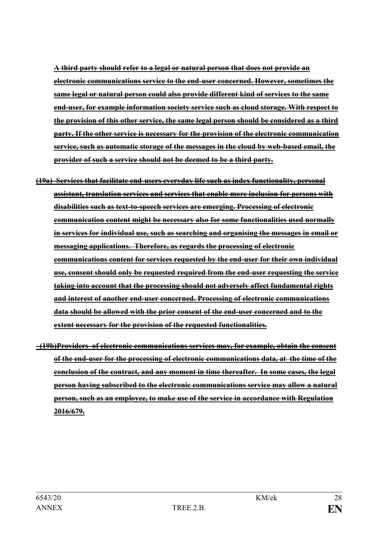**A third party should refer to a legal or natural person that does not provide an electronic communications service to the end-user concerned. However, sometimes the same legal or natural person could also provide different kind of services to the same end-user, for example information society service such as cloud storage. With respect to the provision of this other service, the same legal person should be considered as a third party. If the other service is necessary for the provision of the electronic communication service, such as automatic storage of the messages in the cloud by web-based email, the provider of such a service should not be deemed to be a third party.**

- **(19a) Services that facilitate end-users everyday life such as index functionality, personal assistant, translation services and services that enable more inclusion for persons with disabilities such as text-to-speech services are emerging. Processing of electronic communication content might be necessary also for some functionalities used normally in services for individual use, such as searching and organising the messages in email or messaging applications. Therefore, as regards the processing of electronic communications content for services requested by the end-user for their own individual use, consent should only be requested required from the end-user requesting the service taking into account that the processing should not adversely affect fundamental rights and interest of another end-user concerned. Processing of electronic communications data should be allowed with the prior consent of the end-user concerned and to the extent necessary for the provision of the requested functionalities.**
- **(19b)Providers of electronic communications services may, for example, obtain the consent of the end-user for the processing of electronic communications data, at the time of the conclusion of the contract, and any moment in time thereafter. In some cases, the legal person having subscribed to the electronic communications service may allow a natural person, such as an employee, to make use of the service in accordance with Regulation 2016/679.**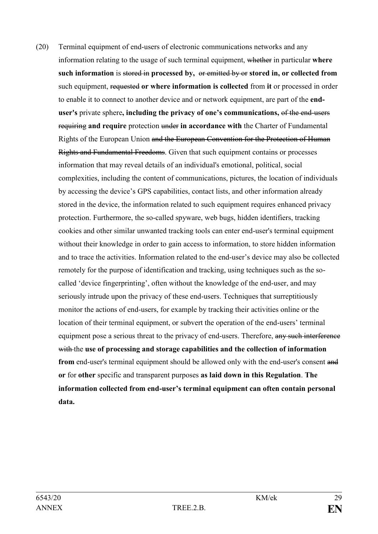(20) Terminal equipment of end-users of electronic communications networks and any information relating to the usage of such terminal equipment, whether in particular **where such information** is stored in **processed by,** or emitted by or **stored in, or collected from** such equipment, requested **or where information is collected** from **it** or processed in order to enable it to connect to another device and or network equipment, are part of the **enduser's** private sphere**, including the privacy of one's communications,** of the end-users requiring **and require** protection under **in accordance with** the Charter of Fundamental Rights of the European Union and the European Convention for the Protection of Human Rights and Fundamental Freedoms. Given that such equipment contains or processes information that may reveal details of an individual's emotional, political, social complexities, including the content of communications, pictures, the location of individuals by accessing the device's GPS capabilities, contact lists, and other information already stored in the device, the information related to such equipment requires enhanced privacy protection. Furthermore, the so-called spyware, web bugs, hidden identifiers, tracking cookies and other similar unwanted tracking tools can enter end-user's terminal equipment without their knowledge in order to gain access to information, to store hidden information and to trace the activities. Information related to the end-user's device may also be collected remotely for the purpose of identification and tracking, using techniques such as the socalled 'device fingerprinting', often without the knowledge of the end-user, and may seriously intrude upon the privacy of these end-users. Techniques that surreptitiously monitor the actions of end-users, for example by tracking their activities online or the location of their terminal equipment, or subvert the operation of the end-users' terminal equipment pose a serious threat to the privacy of end-users. Therefore, any such interference with the **use of processing and storage capabilities and the collection of information from** end-user's terminal equipment should be allowed only with the end-user's consent and **or** for **other** specific and transparent purposes **as laid down in this Regulation**. **The information collected from end-user's terminal equipment can often contain personal data.**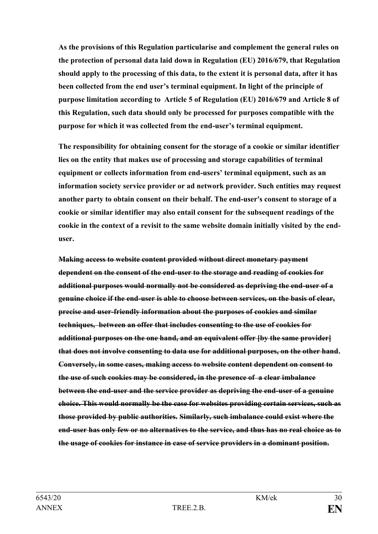**As the provisions of this Regulation particularise and complement the general rules on the protection of personal data laid down in Regulation (EU) 2016/679, that Regulation should apply to the processing of this data, to the extent it is personal data, after it has been collected from the end user's terminal equipment. In light of the principle of purpose limitation according to Article 5 of Regulation (EU) 2016/679 and Article 8 of this Regulation, such data should only be processed for purposes compatible with the purpose for which it was collected from the end-user's terminal equipment.** 

**The responsibility for obtaining consent for the storage of a cookie or similar identifier lies on the entity that makes use of processing and storage capabilities of terminal equipment or collects information from end-users' terminal equipment, such as an information society service provider or ad network provider. Such entities may request another party to obtain consent on their behalf. The end-user's consent to storage of a cookie or similar identifier may also entail consent for the subsequent readings of the cookie in the context of a revisit to the same website domain initially visited by the enduser.**

**Making access to website content provided without direct monetary payment dependent on the consent of the end-user to the storage and reading of cookies for additional purposes would normally not be considered as depriving the end-user of a genuine choice if the end-user is able to choose between services, on the basis of clear, precise and user-friendly information about the purposes of cookies and similar techniques, between an offer that includes consenting to the use of cookies for additional purposes on the one hand, and an equivalent offer [by the same provider] that does not involve consenting to data use for additional purposes, on the other hand. Conversely, in some cases, making access to website content dependent on consent to the use of such cookies may be considered, in the presence of a clear imbalance between the end-user and the service provider as depriving the end-user of a genuine choice. This would normally be the case for websites providing certain services, such as those provided by public authorities. Similarly, such imbalance could exist where the end-user has only few or no alternatives to the service, and thus has no real choice as to the usage of cookies for instance in case of service providers in a dominant position.**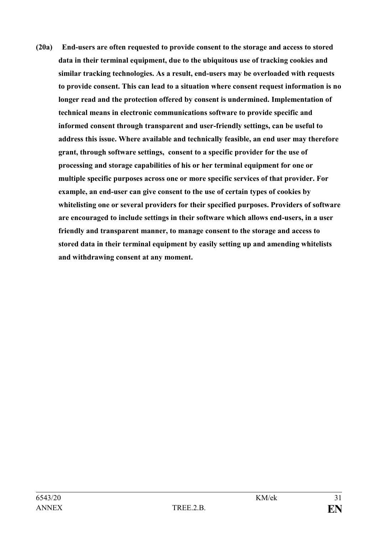**(20a) End-users are often requested to provide consent to the storage and access to stored data in their terminal equipment, due to the ubiquitous use of tracking cookies and similar tracking technologies. As a result, end-users may be overloaded with requests to provide consent. This can lead to a situation where consent request information is no longer read and the protection offered by consent is undermined. Implementation of technical means in electronic communications software to provide specific and informed consent through transparent and user-friendly settings, can be useful to address this issue. Where available and technically feasible, an end user may therefore grant, through software settings, consent to a specific provider for the use of processing and storage capabilities of his or her terminal equipment for one or multiple specific purposes across one or more specific services of that provider. For example, an end-user can give consent to the use of certain types of cookies by whitelisting one or several providers for their specified purposes. Providers of software are encouraged to include settings in their software which allows end-users, in a user friendly and transparent manner, to manage consent to the storage and access to stored data in their terminal equipment by easily setting up and amending whitelists and withdrawing consent at any moment.**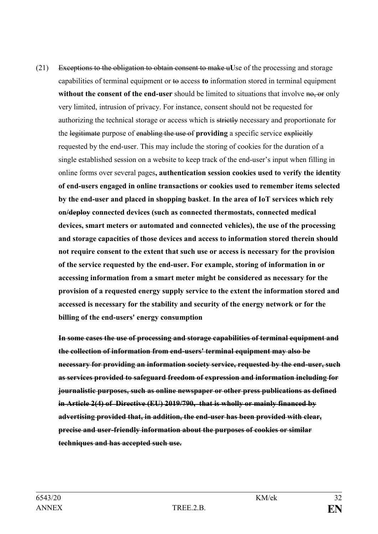(21) Exceptions to the obligation to obtain consent to make u**U**se of the processing and storage capabilities of terminal equipment or to access **to** information stored in terminal equipment **without the consent of the end-user** should be limited to situations that involve no, or only very limited, intrusion of privacy. For instance, consent should not be requested for authorizing the technical storage or access which is strictly necessary and proportionate for the legitimate purpose of enabling the use of **providing** a specific service explicitly requested by the end-user. This may include the storing of cookies for the duration of a single established session on a website to keep track of the end-user's input when filling in online forms over several pages**, authentication session cookies used to verify the identity of end-users engaged in online transactions or cookies used to remember items selected by the end-user and placed in shopping basket**. **In the area of IoT services which rely on/deploy connected devices (such as connected thermostats, connected medical devices, smart meters or automated and connected vehicles), the use of the processing and storage capacities of those devices and access to information stored therein should not require consent to the extent that such use or access is necessary for the provision of the service requested by the end-user. For example, storing of information in or accessing information from a smart meter might be considered as necessary for the provision of a requested energy supply service to the extent the information stored and accessed is necessary for the stability and security of the energy network or for the billing of the end-users' energy consumption**

**In some cases the use of processing and storage capabilities of terminal equipment and the collection of information from end-users' terminal equipment may also be necessary for providing an information society service, requested by the end-user, such as services provided to safeguard freedom of expression and information including for journalistic purposes, such as online newspaper or other press publications as defined in Article 2(4) of Directive (EU) 2019/790, that is wholly or mainly financed by advertising provided that, in addition, the end-user has been provided with clear, precise and user-friendly information about the purposes of cookies or similar techniques and has accepted such use.**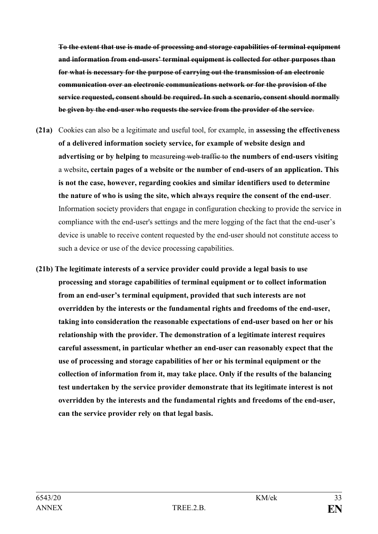**To the extent that use is made of processing and storage capabilities of terminal equipment and information from end-users' terminal equipment is collected for other purposes than for what is necessary for the purpose of carrying out the transmission of an electronic communication over an electronic communications network or for the provision of the service requested, consent should be required. In such a scenario, consent should normally be given by the end-user who requests the service from the provider of the service**.

- **(21a)** Cookies can also be a legitimate and useful tool, for example, in **assessing the effectiveness of a delivered information society service, for example of website design and advertising or by helping to** measur**e**ing web traffic to **the numbers of end-users visiting** a website**, certain pages of a website or the number of end-users of an application. This is not the case, however, regarding cookies and similar identifiers used to determine the nature of who is using the site, which always require the consent of the end-user**. Information society providers that engage in configuration checking to provide the service in compliance with the end-user's settings and the mere logging of the fact that the end-user's device is unable to receive content requested by the end-user should not constitute access to such a device or use of the device processing capabilities.
- **(21b) The legitimate interests of a service provider could provide a legal basis to use processing and storage capabilities of terminal equipment or to collect information from an end-user's terminal equipment, provided that such interests are not overridden by the interests or the fundamental rights and freedoms of the end-user, taking into consideration the reasonable expectations of end-user based on her or his relationship with the provider. The demonstration of a legitimate interest requires careful assessment, in particular whether an end-user can reasonably expect that the use of processing and storage capabilities of her or his terminal equipment or the collection of information from it, may take place. Only if the results of the balancing test undertaken by the service provider demonstrate that its legitimate interest is not overridden by the interests and the fundamental rights and freedoms of the end-user, can the service provider rely on that legal basis.**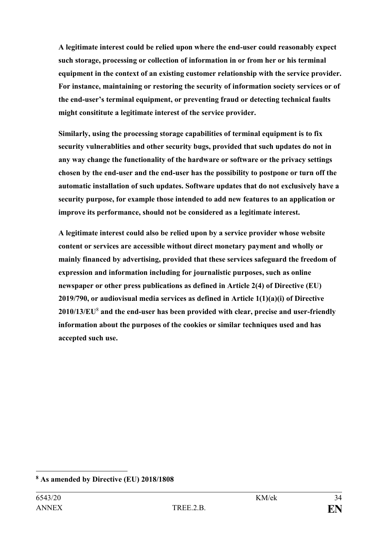**A legitimate interest could be relied upon where the end-user could reasonably expect such storage, processing or collection of information in or from her or his terminal equipment in the context of an existing customer relationship with the service provider. For instance, maintaining or restoring the security of information society services or of the end-user's terminal equipment, or preventing fraud or detecting technical faults might consititute a legitimate interest of the service provider.**

**Similarly, using the processing storage capabilities of terminal equipment is to fix security vulnerablities and other security bugs, provided that such updates do not in any way change the functionality of the hardware or software or the privacy settings chosen by the end-user and the end-user has the possibility to postpone or turn off the automatic installation of such updates. Software updates that do not exclusively have a security purpose, for example those intended to add new features to an application or improve its performance, should not be considered as a legitimate interest.**

**A legitimate interest could also be relied upon by a service provider whose website content or services are accessible without direct monetary payment and wholly or mainly financed by advertising, provided that these services safeguard the freedom of expression and information including for journalistic purposes, such as online newspaper or other press publications as defined in Article 2(4) of Directive (EU) 2019/790, or audiovisual media services as defined in Article 1(1)(a)(i) of Directive 2010/13/EU**<sup>8</sup> **and the end-user has been provided with clear, precise and user-friendly information about the purposes of the cookies or similar techniques used and has accepted such use.**

1

**<sup>8</sup> As amended by Directive (EU) 2018/1808**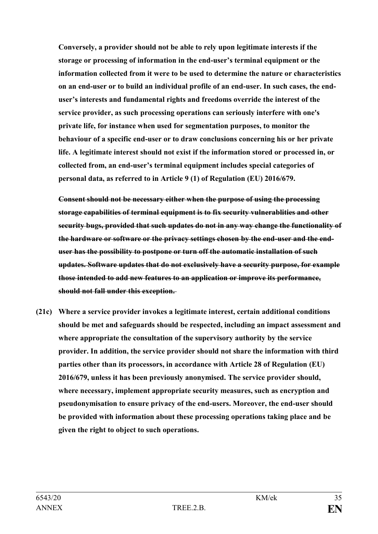**Conversely, a provider should not be able to rely upon legitimate interests if the storage or processing of information in the end-user's terminal equipment or the information collected from it were to be used to determine the nature or characteristics on an end-user or to build an individual profile of an end-user. In such cases, the enduser's interests and fundamental rights and freedoms override the interest of the service provider, as such processing operations can seriously interfere with one's private life, for instance when used for segmentation purposes, to monitor the behaviour of a specific end-user or to draw conclusions concerning his or her private life. A legitimate interest should not exist if the information stored or processed in, or collected from, an end-user's terminal equipment includes special categories of personal data, as referred to in Article 9 (1) of Regulation (EU) 2016/679.** 

**Consent should not be necessary either when the purpose of using the processing storage capabilities of terminal equipment is to fix security vulnerablities and other security bugs, provided that such updates do not in any way change the functionality of the hardware or software or the privacy settings chosen by the end-user and the enduser has the possibility to postpone or turn off the automatic installation of such updates. Software updates that do not exclusively have a security purpose, for example those intended to add new features to an application or improve its performance, should not fall under this exception.**

**(21c) Where a service provider invokes a legitimate interest, certain additional conditions should be met and safeguards should be respected, including an impact assessment and where appropriate the consultation of the supervisory authority by the service provider. In addition, the service provider should not share the information with third parties other than its processors, in accordance with Article 28 of Regulation (EU) 2016/679, unless it has been previously anonymised. The service provider should, where necessary, implement appropriate security measures, such as encryption and pseudonymisation to ensure privacy of the end-users. Moreover, the end-user should be provided with information about these processing operations taking place and be given the right to object to such operations.**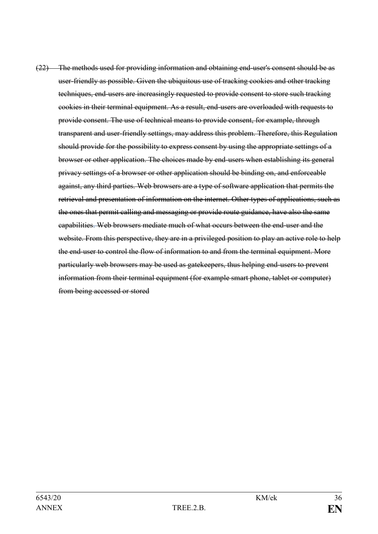(22) The methods used for providing information and obtaining end-user's consent should be as user-friendly as possible. Given the ubiquitous use of tracking cookies and other tracking techniques, end-users are increasingly requested to provide consent to store such tracking cookies in their terminal equipment. As a result, end-users are overloaded with requests to provide consent. The use of technical means to provide consent, for example, through transparent and user-friendly settings, may address this problem. Therefore, this Regulation should provide for the possibility to express consent by using the appropriate settings of a browser or other application. The choices made by end-users when establishing its general privacy settings of a browser or other application should be binding on, and enforceable against, any third parties. Web browsers are a type of software application that permits the retrieval and presentation of information on the internet. Other types of applications, such as the ones that permit calling and messaging or provide route guidance, have also the same capabilities. Web browsers mediate much of what occurs between the end-user and the website. From this perspective, they are in a privileged position to play an active role to help the end-user to control the flow of information to and from the terminal equipment. More particularly web browsers may be used as gatekeepers, thus helping end-users to prevent information from their terminal equipment (for example smart phone, tablet or computer) from being accessed or stored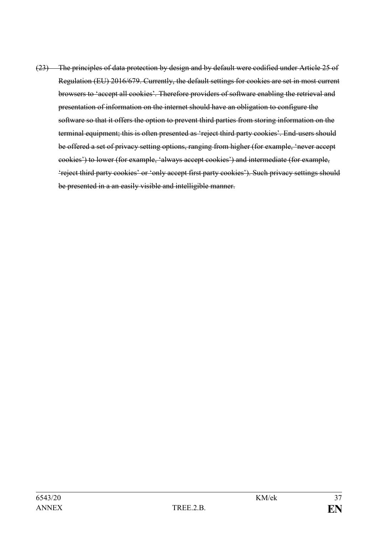(23) The principles of data protection by design and by default were codified under Article 25 of Regulation (EU) 2016/679. Currently, the default settings for cookies are set in most current browsers to 'accept all cookies'. Therefore providers of software enabling the retrieval and presentation of information on the internet should have an obligation to configure the software so that it offers the option to prevent third parties from storing information on the terminal equipment; this is often presented as 'reject third party cookies'. End-users should be offered a set of privacy setting options, ranging from higher (for example, 'never accept cookies') to lower (for example, 'always accept cookies') and intermediate (for example, 'reject third party cookies' or 'only accept first party cookies'). Such privacy settings should be presented in a an easily visible and intelligible manner.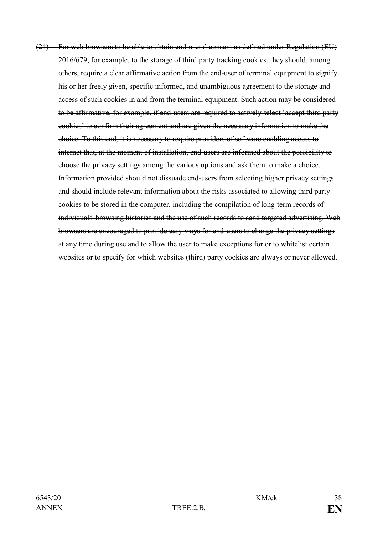(24) For web browsers to be able to obtain end-users' consent as defined under Regulation (EU) 2016/679, for example, to the storage of third party tracking cookies, they should, among others, require a clear affirmative action from the end-user of terminal equipment to signify his or her freely given, specific informed, and unambiguous agreement to the storage and access of such cookies in and from the terminal equipment. Such action may be considered to be affirmative, for example, if end-users are required to actively select 'accept third party cookies' to confirm their agreement and are given the necessary information to make the choice. To this end, it is necessary to require providers of software enabling access to internet that, at the moment of installation, end-users are informed about the possibility to choose the privacy settings among the various options and ask them to make a choice. Information provided should not dissuade end-users from selecting higher privacy settings and should include relevant information about the risks associated to allowing third party cookies to be stored in the computer, including the compilation of long-term records of individuals' browsing histories and the use of such records to send targeted advertising. Web browsers are encouraged to provide easy ways for end-users to change the privacy settings at any time during use and to allow the user to make exceptions for or to whitelist certain websites or to specify for which websites (third) party cookies are always or never allowed.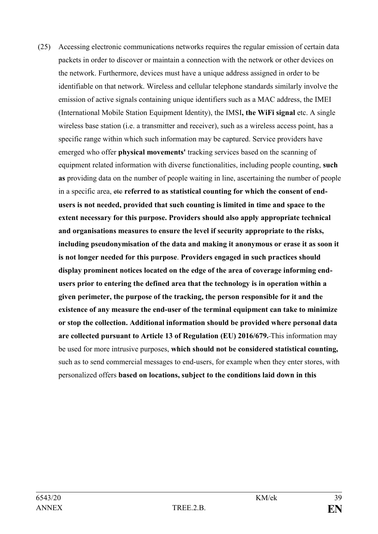(25) Accessing electronic communications networks requires the regular emission of certain data packets in order to discover or maintain a connection with the network or other devices on the network. Furthermore, devices must have a unique address assigned in order to be identifiable on that network. Wireless and cellular telephone standards similarly involve the emission of active signals containing unique identifiers such as a MAC address, the IMEI (International Mobile Station Equipment Identity), the IMSI**, the WiFi signal** etc. A single wireless base station (i.e. a transmitter and receiver), such as a wireless access point, has a specific range within which such information may be captured. Service providers have emerged who offer **physical movements'** tracking services based on the scanning of equipment related information with diverse functionalities, including people counting, **such as** providing data on the number of people waiting in line, ascertaining the number of people in a specific area, etc **referred to as statistical counting for which the consent of endusers is not needed, provided that such counting is limited in time and space to the extent necessary for this purpose. Providers should also apply appropriate technical and organisations measures to ensure the level if security appropriate to the risks, including pseudonymisation of the data and making it anonymous or erase it as soon it is not longer needed for this purpose**. **Providers engaged in such practices should display prominent notices located on the edge of the area of coverage informing endusers prior to entering the defined area that the technology is in operation within a given perimeter, the purpose of the tracking, the person responsible for it and the existence of any measure the end-user of the terminal equipment can take to minimize or stop the collection. Additional information should be provided where personal data are collected pursuant to Article 13 of Regulation (EU) 2016/679.** This information may be used for more intrusive purposes, **which should not be considered statistical counting,** such as to send commercial messages to end-users, for example when they enter stores, with personalized offers **based on locations, subject to the conditions laid down in this**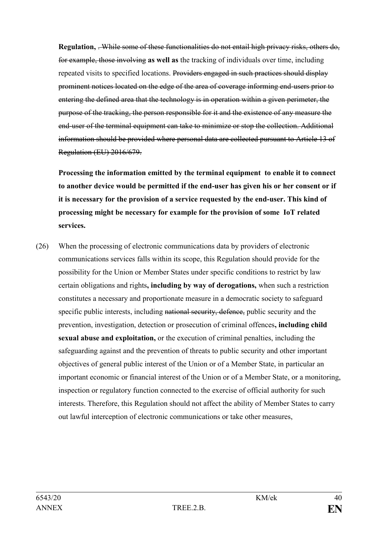**Regulation,** . While some of these functionalities do not entail high privacy risks, others do, for example, those involving **as well as** the tracking of individuals over time, including repeated visits to specified locations. Providers engaged in such practices should display prominent notices located on the edge of the area of coverage informing end-users prior to entering the defined area that the technology is in operation within a given perimeter, the purpose of the tracking, the person responsible for it and the existence of any measure the end-user of the terminal equipment can take to minimize or stop the collection. Additional information should be provided where personal data are collected pursuant to Article 13 of Regulation (EU) 2016/679.

**Processing the information emitted by the terminal equipment to enable it to connect to another device would be permitted if the end-user has given his or her consent or if it is necessary for the provision of a service requested by the end-user. This kind of processing might be necessary for example for the provision of some IoT related services.** 

(26) When the processing of electronic communications data by providers of electronic communications services falls within its scope, this Regulation should provide for the possibility for the Union or Member States under specific conditions to restrict by law certain obligations and rights**, including by way of derogations,** when such a restriction constitutes a necessary and proportionate measure in a democratic society to safeguard specific public interests, including national security, defence, public security and the prevention, investigation, detection or prosecution of criminal offences**, including child sexual abuse and exploitation,** or the execution of criminal penalties, including the safeguarding against and the prevention of threats to public security and other important objectives of general public interest of the Union or of a Member State, in particular an important economic or financial interest of the Union or of a Member State, or a monitoring, inspection or regulatory function connected to the exercise of official authority for such interests. Therefore, this Regulation should not affect the ability of Member States to carry out lawful interception of electronic communications or take other measures,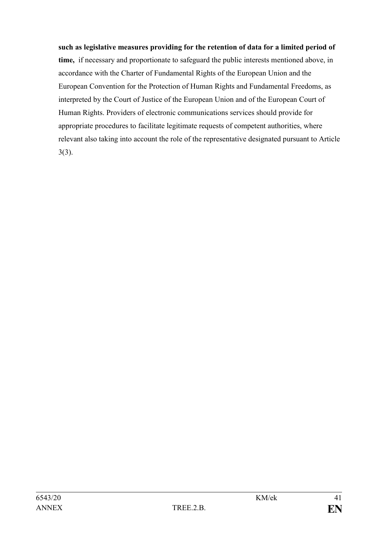### **such as legislative measures providing for the retention of data for a limited period of**

**time,** if necessary and proportionate to safeguard the public interests mentioned above, in accordance with the Charter of Fundamental Rights of the European Union and the European Convention for the Protection of Human Rights and Fundamental Freedoms, as interpreted by the Court of Justice of the European Union and of the European Court of Human Rights. Providers of electronic communications services should provide for appropriate procedures to facilitate legitimate requests of competent authorities, where relevant also taking into account the role of the representative designated pursuant to Article 3(3).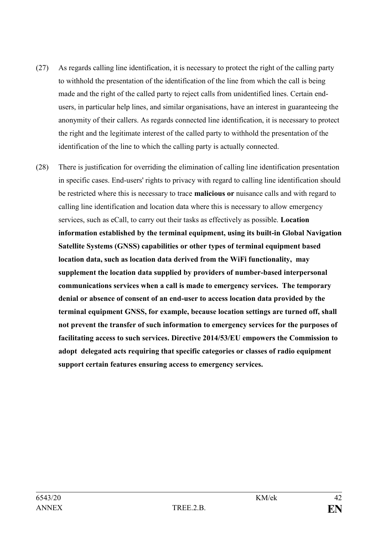- (27) As regards calling line identification, it is necessary to protect the right of the calling party to withhold the presentation of the identification of the line from which the call is being made and the right of the called party to reject calls from unidentified lines. Certain endusers, in particular help lines, and similar organisations, have an interest in guaranteeing the anonymity of their callers. As regards connected line identification, it is necessary to protect the right and the legitimate interest of the called party to withhold the presentation of the identification of the line to which the calling party is actually connected.
- (28) There is justification for overriding the elimination of calling line identification presentation in specific cases. End-users' rights to privacy with regard to calling line identification should be restricted where this is necessary to trace **malicious or** nuisance calls and with regard to calling line identification and location data where this is necessary to allow emergency services, such as eCall, to carry out their tasks as effectively as possible. **Location information established by the terminal equipment, using its built-in Global Navigation Satellite Systems (GNSS) capabilities or other types of terminal equipment based location data, such as location data derived from the WiFi functionality, may supplement the location data supplied by providers of number-based interpersonal communications services when a call is made to emergency services. The temporary denial or absence of consent of an end-user to access location data provided by the terminal equipment GNSS, for example, because location settings are turned off, shall not prevent the transfer of such information to emergency services for the purposes of facilitating access to such services. Directive 2014/53/EU empowers the Commission to adopt delegated acts requiring that specific categories or classes of radio equipment support certain features ensuring access to emergency services.**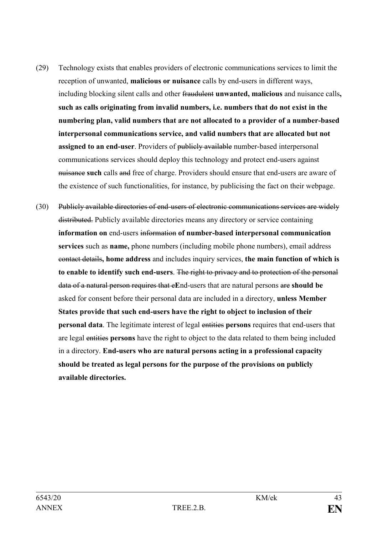- (29) Technology exists that enables providers of electronic communications services to limit the reception of unwanted, **malicious or nuisance** calls by end-users in different ways, including blocking silent calls and other fraudulent **unwanted, malicious** and nuisance calls**, such as calls originating from invalid numbers, i.e. numbers that do not exist in the numbering plan, valid numbers that are not allocated to a provider of a number-based interpersonal communications service, and valid numbers that are allocated but not assigned to an end-user**. Providers of publicly available number-based interpersonal communications services should deploy this technology and protect end-users against nuisance **such** calls and free of charge. Providers should ensure that end-users are aware of the existence of such functionalities, for instance, by publicising the fact on their webpage.
- (30) Publicly available directories of end-users of electronic communications services are widely distributed. Publicly available directories means any directory or service containing **information on** end-users information **of number-based interpersonal communication services** such as **name,** phone numbers (including mobile phone numbers), email address contact details**, home address** and includes inquiry services, **the main function of which is to enable to identify such end-users**. The right to privacy and to protection of the personal data of a natural person requires that e**E**nd-users that are natural persons are **should be**  asked for consent before their personal data are included in a directory, **unless Member States provide that such end-users have the right to object to inclusion of their personal data**. The legitimate interest of legal entities **persons** requires that end-users that are legal entities **persons** have the right to object to the data related to them being included in a directory. **End-users who are natural persons acting in a professional capacity should be treated as legal persons for the purpose of the provisions on publicly available directories.**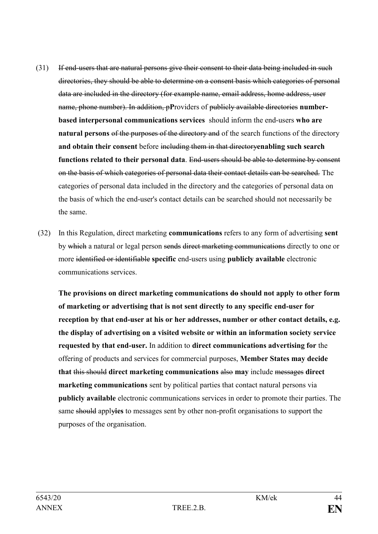- (31) If end-users that are natural persons give their consent to their data being included in such directories, they should be able to determine on a consent basis which categories of personal data are included in the directory (for example name, email address, home address, user name, phone number). In addition, p**P**roviders of publicly available directories **numberbased interpersonal communications services** should inform the end-users **who are natural persons** of the purposes of the directory and of the search functions of the directory **and obtain their consent** before including them in that directory**enabling such search functions related to their personal data**. End-users should be able to determine by consent on the basis of which categories of personal data their contact details can be searched. The categories of personal data included in the directory and the categories of personal data on the basis of which the end-user's contact details can be searched should not necessarily be the same.
- (32) In this Regulation, direct marketing **communications** refers to any form of advertising **sent**  by which a natural or legal person sends direct marketing communications directly to one or more identified or identifiable **specific** end-users using **publicly available** electronic communications services.

**The provisions on direct marketing communications do should not apply to other form of marketing or advertising that is not sent directly to any specific end-user for reception by that end-user at his or her addresses, number or other contact details, e.g. the display of advertising on a visited website or within an information society service requested by that end-user.** In addition to **direct communications advertising for** the offering of products and services for commercial purposes, **Member States may decide that** this should **direct marketing communications** also **may** include messages **direct marketing communications** sent by political parties that contact natural persons via **publicly available** electronic communications services in order to promote their parties. The same should apply**ies** to messages sent by other non-profit organisations to support the purposes of the organisation.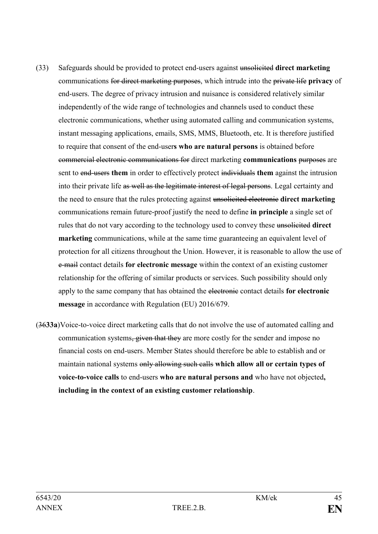- (33) Safeguards should be provided to protect end-users against unsolicited **direct marketing** communications for direct marketing purposes, which intrude into the private life **privacy** of end-users. The degree of privacy intrusion and nuisance is considered relatively similar independently of the wide range of technologies and channels used to conduct these electronic communications, whether using automated calling and communication systems, instant messaging applications, emails, SMS, MMS, Bluetooth, etc. It is therefore justified to require that consent of the end-user**s who are natural persons** is obtained before commercial electronic communications for direct marketing **communications** purposes are sent to end-users **them** in order to effectively protect individuals **them** against the intrusion into their private life as well as the legitimate interest of legal persons. Legal certainty and the need to ensure that the rules protecting against unsolicited electronic **direct marketing** communications remain future-proof justify the need to define **in principle** a single set of rules that do not vary according to the technology used to convey these unsolicited **direct marketing** communications, while at the same time guaranteeing an equivalent level of protection for all citizens throughout the Union. However, it is reasonable to allow the use of e-mail contact details **for electronic message** within the context of an existing customer relationship for the offering of similar products or services. Such possibility should only apply to the same company that has obtained the electronic contact details **for electronic message** in accordance with Regulation (EU) 2016/679.
- (36**33a**)Voice-to-voice direct marketing calls that do not involve the use of automated calling and communication systems, given that they are more costly for the sender and impose no financial costs on end-users. Member States should therefore be able to establish and or maintain national systems only allowing such calls **which allow all or certain types of voice-to-voice calls** to end-users **who are natural persons and** who have not objected**, including in the context of an existing customer relationship**.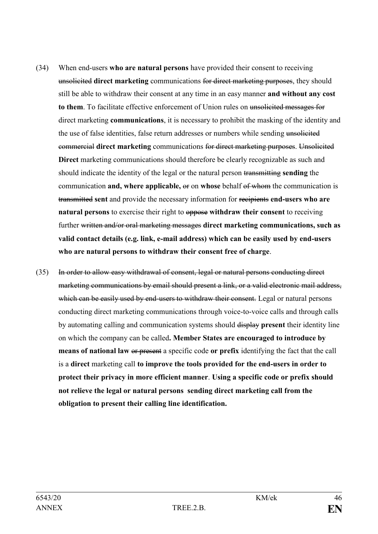- (34) When end-users **who are natural persons** have provided their consent to receiving unsolicited **direct marketing** communications for direct marketing purposes, they should still be able to withdraw their consent at any time in an easy manner **and without any cost to them**. To facilitate effective enforcement of Union rules on unsolicited messages for direct marketing **communications**, it is necessary to prohibit the masking of the identity and the use of false identities, false return addresses or numbers while sending unsolicited commercial **direct marketing** communications for direct marketing purposes. Unsolicited **Direct** marketing communications should therefore be clearly recognizable as such and should indicate the identity of the legal or the natural person transmitting **sending** the communication **and, where applicable,** or on **whose** behalf of whom the communication is transmitted **sent** and provide the necessary information for recipients **end-users who are natural persons** to exercise their right to oppose **withdraw their consent** to receiving further written and/or oral marketing messages **direct marketing communications, such as valid contact details (e.g. link, e-mail address) which can be easily used by end-users who are natural persons to withdraw their consent free of charge**.
- (35) In order to allow easy withdrawal of consent, legal or natural persons conducting direct marketing communications by email should present a link, or a valid electronic mail address, which can be easily used by end-users to withdraw their consent. Legal or natural persons conducting direct marketing communications through voice-to-voice calls and through calls by automating calling and communication systems should display **present** their identity line on which the company can be called**. Member States are encouraged to introduce by means of national law** or present a specific code **or prefix** identifying the fact that the call is a **direct** marketing call **to improve the tools provided for the end-users in order to protect their privacy in more efficient manner**. **Using a specific code or prefix should not relieve the legal or natural persons sending direct marketing call from the obligation to present their calling line identification.**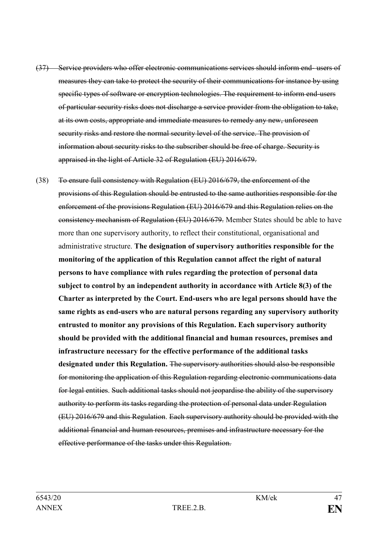- (37) Service providers who offer electronic communications services should inform end- users of measures they can take to protect the security of their communications for instance by using specific types of software or encryption technologies. The requirement to inform end-users of particular security risks does not discharge a service provider from the obligation to take, at its own costs, appropriate and immediate measures to remedy any new, unforeseen security risks and restore the normal security level of the service. The provision of information about security risks to the subscriber should be free of charge. Security is appraised in the light of Article 32 of Regulation (EU) 2016/679.
- (38) To ensure full consistency with Regulation (EU) 2016/679, the enforcement of the provisions of this Regulation should be entrusted to the same authorities responsible for the enforcement of the provisions Regulation (EU) 2016/679 and this Regulation relies on the consistency mechanism of Regulation (EU) 2016/679. Member States should be able to have more than one supervisory authority, to reflect their constitutional, organisational and administrative structure. **The designation of supervisory authorities responsible for the monitoring of the application of this Regulation cannot affect the right of natural persons to have compliance with rules regarding the protection of personal data subject to control by an independent authority in accordance with Article 8(3) of the Charter as interpreted by the Court. End-users who are legal persons should have the same rights as end-users who are natural persons regarding any supervisory authority entrusted to monitor any provisions of this Regulation. Each supervisory authority should be provided with the additional financial and human resources, premises and infrastructure necessary for the effective performance of the additional tasks designated under this Regulation.** The supervisory authorities should also be responsible for monitoring the application of this Regulation regarding electronic communications data for legal entities. Such additional tasks should not jeopardise the ability of the supervisory authority to perform its tasks regarding the protection of personal data under Regulation (EU) 2016/679 and this Regulation. Each supervisory authority should be provided with the additional financial and human resources, premises and infrastructure necessary for the effective performance of the tasks under this Regulation.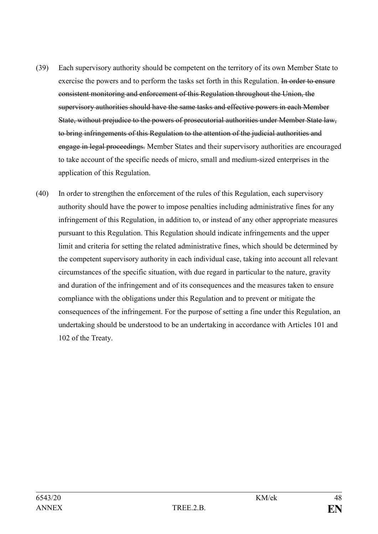- (39) Each supervisory authority should be competent on the territory of its own Member State to exercise the powers and to perform the tasks set forth in this Regulation. In order to ensure consistent monitoring and enforcement of this Regulation throughout the Union, the supervisory authorities should have the same tasks and effective powers in each Member State, without prejudice to the powers of prosecutorial authorities under Member State law, to bring infringements of this Regulation to the attention of the judicial authorities and engage in legal proceedings. Member States and their supervisory authorities are encouraged to take account of the specific needs of micro, small and medium-sized enterprises in the application of this Regulation.
- (40) In order to strengthen the enforcement of the rules of this Regulation, each supervisory authority should have the power to impose penalties including administrative fines for any infringement of this Regulation, in addition to, or instead of any other appropriate measures pursuant to this Regulation. This Regulation should indicate infringements and the upper limit and criteria for setting the related administrative fines, which should be determined by the competent supervisory authority in each individual case, taking into account all relevant circumstances of the specific situation, with due regard in particular to the nature, gravity and duration of the infringement and of its consequences and the measures taken to ensure compliance with the obligations under this Regulation and to prevent or mitigate the consequences of the infringement. For the purpose of setting a fine under this Regulation, an undertaking should be understood to be an undertaking in accordance with Articles 101 and 102 of the Treaty.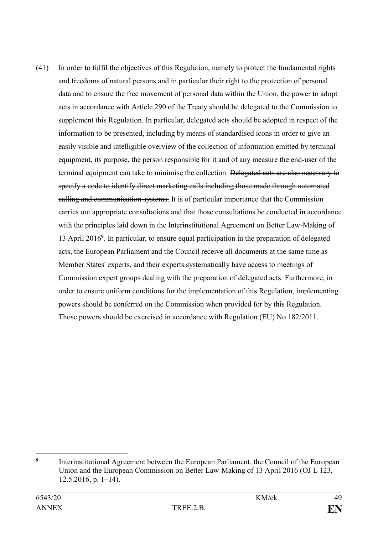(41) In order to fulfil the objectives of this Regulation, namely to protect the fundamental rights and freedoms of natural persons and in particular their right to the protection of personal data and to ensure the free movement of personal data within the Union, the power to adopt acts in accordance with Article 290 of the Treaty should be delegated to the Commission to supplement this Regulation. In particular, delegated acts should be adopted in respect of the information to be presented, including by means of standardised icons in order to give an easily visible and intelligible overview of the collection of information emitted by terminal equipment, its purpose, the person responsible for it and of any measure the end-user of the terminal equipment can take to minimise the collection. Delegated acts are also necessary to specify a code to identify direct marketing calls including those made through automated calling and communication systems. It is of particular importance that the Commission carries out appropriate consultations and that those consultations be conducted in accordance with the principles laid down in the Interinstitutional Agreement on Better Law-Making of 13 April 2016**<sup>9</sup>** . In particular, to ensure equal participation in the preparation of delegated acts, the European Parliament and the Council receive all documents at the same time as Member States' experts, and their experts systematically have access to meetings of Commission expert groups dealing with the preparation of delegated acts. Furthermore, in order to ensure uniform conditions for the implementation of this Regulation, implementing powers should be conferred on the Commission when provided for by this Regulation. Those powers should be exercised in accordance with Regulation (EU) No 182/2011.

<sup>&</sup>lt;u>.</u> **9** Interinstitutional Agreement between the European Parliament, the Council of the European Union and the European Commission on Better Law-Making of 13 April 2016 (OJ L 123, 12.5.2016, p. 1–14).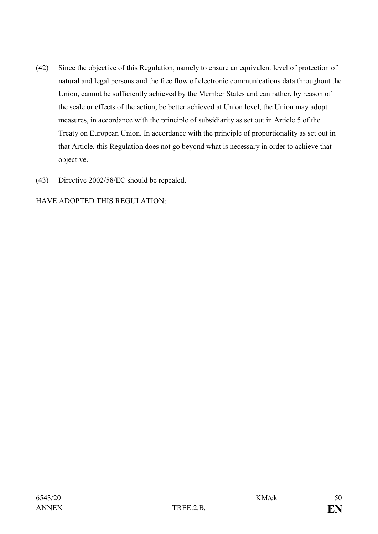- (42) Since the objective of this Regulation, namely to ensure an equivalent level of protection of natural and legal persons and the free flow of electronic communications data throughout the Union, cannot be sufficiently achieved by the Member States and can rather, by reason of the scale or effects of the action, be better achieved at Union level, the Union may adopt measures, in accordance with the principle of subsidiarity as set out in Article 5 of the Treaty on European Union. In accordance with the principle of proportionality as set out in that Article, this Regulation does not go beyond what is necessary in order to achieve that objective.
- (43) Directive 2002/58/EC should be repealed.

HAVE ADOPTED THIS REGULATION: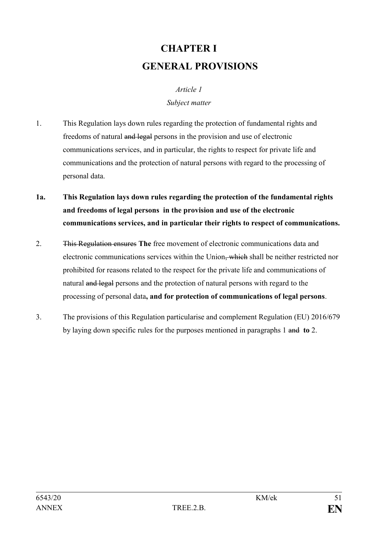# **CHAPTER I GENERAL PROVISIONS**

## *Article 1 Subject matter*

- 1. This Regulation lays down rules regarding the protection of fundamental rights and freedoms of natural and legal persons in the provision and use of electronic communications services, and in particular, the rights to respect for private life and communications and the protection of natural persons with regard to the processing of personal data.
- **1a. This Regulation lays down rules regarding the protection of the fundamental rights and freedoms of legal persons in the provision and use of the electronic communications services, and in particular their rights to respect of communications.**
- 2. This Regulation ensures **The** free movement of electronic communications data and electronic communications services within the Union, which shall be neither restricted nor prohibited for reasons related to the respect for the private life and communications of natural and legal persons and the protection of natural persons with regard to the processing of personal data**, and for protection of communications of legal persons**.
- 3. The provisions of this Regulation particularise and complement Regulation (EU) 2016/679 by laying down specific rules for the purposes mentioned in paragraphs 1 and **to** 2.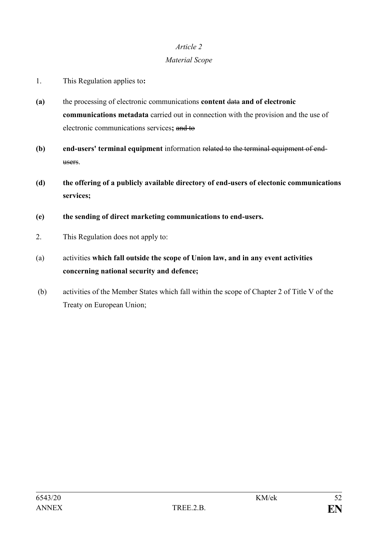## *Material Scope*

- 1. This Regulation applies to**:**
- **(a)** the processing of electronic communications **content** data **and of electronic communications metadata** carried out in connection with the provision and the use of electronic communications services**;** and to
- **(b) end-users' terminal equipment** information related to the terminal equipment of endusers.
- **(d) the offering of a publicly available directory of end-users of electonic communications services;**
- **(e) the sending of direct marketing communications to end-users.**
- 2. This Regulation does not apply to:
- (a) activities **which fall outside the scope of Union law, and in any event activities concerning national security and defence;**
- (b) activities of the Member States which fall within the scope of Chapter 2 of Title V of the Treaty on European Union;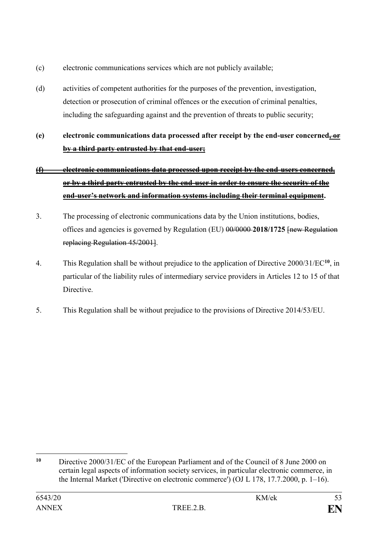- (c) electronic communications services which are not publicly available;
- (d) activities of competent authorities for the purposes of the prevention, investigation, detection or prosecution of criminal offences or the execution of criminal penalties, including the safeguarding against and the prevention of threats to public security;
- **(e) electronic communications data processed after receipt by the end-user concerned, or by a third party entrusted by that end-user;**

# **(f) electronic communications data processed upon receipt by the end-users concerned, or by a third party entrusted by the end-user in order to ensure the security of the end-user's network and information systems including their terminal equipment.**

- 3. The processing of electronic communications data by the Union institutions, bodies, offices and agencies is governed by Regulation (EU) 00/0000 **2018/1725** [new Regulation replacing Regulation 45/2001].
- 4. This Regulation shall be without prejudice to the application of Directive 2000/31/EC**<sup>10</sup>**, in particular of the liability rules of intermediary service providers in Articles 12 to 15 of that **Directive**
- 5. This Regulation shall be without prejudice to the provisions of Directive 2014/53/EU.

<u>.</u>

**<sup>10</sup>** Directive 2000/31/EC of the European Parliament and of the Council of 8 June 2000 on certain legal aspects of information society services, in particular electronic commerce, in the Internal Market ('Directive on electronic commerce') (OJ L 178, 17.7.2000, p. 1–16).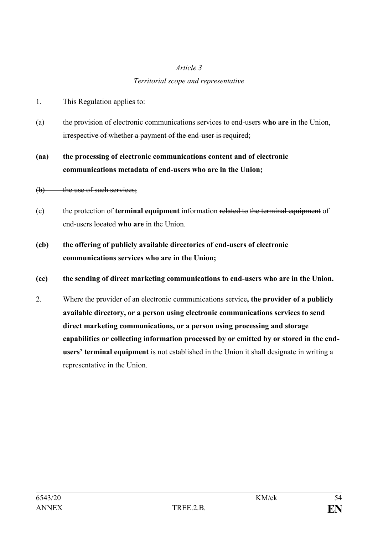### *Territorial scope and representative*

- 1. This Regulation applies to:
- (a) the provision of electronic communications services to end-users **who are** in the Union, irrespective of whether a payment of the end-user is required;

# **(aa) the processing of electronic communications content and of electronic communications metadata of end-users who are in the Union;**

### $(b)$  the use of such services;

- (c) the protection of **terminal equipment** information related to the terminal equipment of end-users located **who are** in the Union.
- **(cb) the offering of publicly available directories of end-users of electronic communications services who are in the Union;**

## **(cc) the sending of direct marketing communications to end-users who are in the Union.**

2. Where the provider of an electronic communications service**, the provider of a publicly available directory, or a person using electronic communications services to send direct marketing communications, or a person using processing and storage capabilities or collecting information processed by or emitted by or stored in the endusers' terminal equipment** is not established in the Union it shall designate in writing a representative in the Union.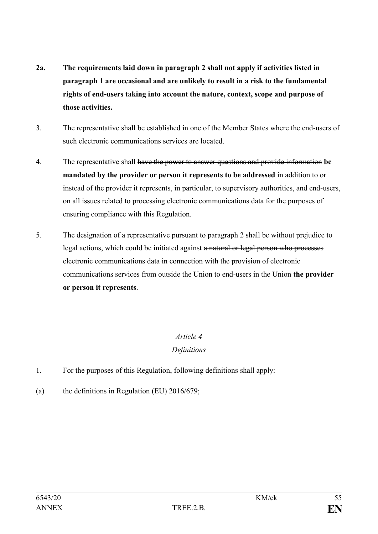- **2a. The requirements laid down in paragraph 2 shall not apply if activities listed in paragraph 1 are occasional and are unlikely to result in a risk to the fundamental rights of end-users taking into account the nature, context, scope and purpose of those activities.**
- 3. The representative shall be established in one of the Member States where the end-users of such electronic communications services are located.
- 4. The representative shall have the power to answer questions and provide information **be mandated by the provider or person it represents to be addressed** in addition to or instead of the provider it represents, in particular, to supervisory authorities, and end-users, on all issues related to processing electronic communications data for the purposes of ensuring compliance with this Regulation.
- 5. The designation of a representative pursuant to paragraph 2 shall be without prejudice to legal actions, which could be initiated against a natural or legal person who processes electronic communications data in connection with the provision of electronic communications services from outside the Union to end-users in the Union **the provider or person it represents**.

## *Definitions*

- 1. For the purposes of this Regulation, following definitions shall apply:
- (a) the definitions in Regulation (EU) 2016/679;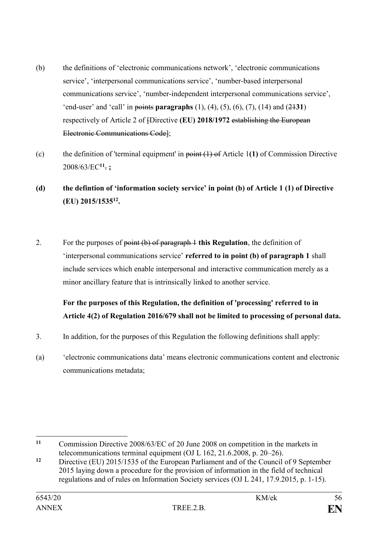- (b) the definitions of 'electronic communications network', 'electronic communications service', 'interpersonal communications service', 'number-based interpersonal communications service', 'number-independent interpersonal communications service', 'end-user' and 'call' in points **paragraphs** (1), (4), (5), (6), (7), (14) and (21**31**) respectively of Article 2 of [Directive **(EU) 2018/1972** establishing the European Electronic Communications Code];
- (c) the definition of 'terminal equipment' in point (1) of Article 1**(1)** of Commission Directive 2008/63/EC**<sup>11</sup>** . **;**
- **(d) the defintion of 'information society service' in point (b) of Article 1 (1) of Directive (EU) 2015/1535<sup>12</sup> .**
- 2. For the purposes of point (b) of paragraph 1 **this Regulation**, the definition of 'interpersonal communications service' **referred to in point (b) of paragraph 1** shall include services which enable interpersonal and interactive communication merely as a minor ancillary feature that is intrinsically linked to another service.

# **For the purposes of this Regulation, the definition of 'processing' referred to in Article 4(2) of Regulation 2016/679 shall not be limited to processing of personal data.**

- 3. In addition, for the purposes of this Regulation the following definitions shall apply:
- (a) 'electronic communications data' means electronic communications content and electronic communications metadata;

 $11$ **<sup>11</sup>** Commission Directive 2008/63/EC of 20 June 2008 on competition in the markets in telecommunications terminal equipment (OJ L 162, 21.6.2008, p. 20–26).

**<sup>12</sup>** Directive (EU) 2015/1535 of the European Parliament and of the Council of 9 September 2015 laying down a procedure for the provision of information in the field of technical regulations and of rules on Information Society services (OJ L 241, 17.9.2015, p. 1-15).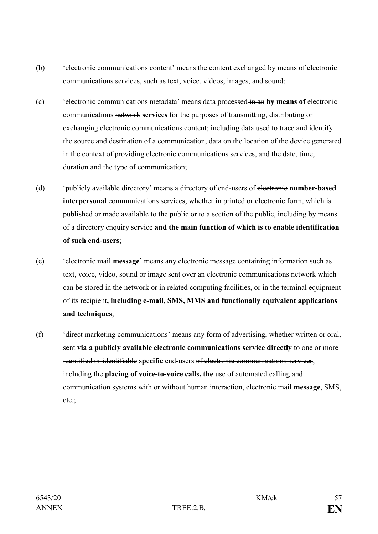- (b) 'electronic communications content' means the content exchanged by means of electronic communications services, such as text, voice, videos, images, and sound;
- (c) 'electronic communications metadata' means data processed in an **by means of** electronic communications network **services** for the purposes of transmitting, distributing or exchanging electronic communications content; including data used to trace and identify the source and destination of a communication, data on the location of the device generated in the context of providing electronic communications services, and the date, time, duration and the type of communication;
- (d) 'publicly available directory' means a directory of end-users of electronic **number-based interpersonal** communications services, whether in printed or electronic form, which is published or made available to the public or to a section of the public, including by means of a directory enquiry service **and the main function of which is to enable identification of such end-users**;
- (e) 'electronic mail **message**' means any electronic message containing information such as text, voice, video, sound or image sent over an electronic communications network which can be stored in the network or in related computing facilities, or in the terminal equipment of its recipient**, including e-mail, SMS, MMS and functionally equivalent applications and techniques**;
- (f) 'direct marketing communications' means any form of advertising, whether written or oral, sent **via a publicly available electronic communications service directly** to one or more identified or identifiable **specific** end-users of electronic communications services, including the **placing of voice-to-voice calls, the** use of automated calling and communication systems with or without human interaction, electronic mail **message**, SMS, etc.;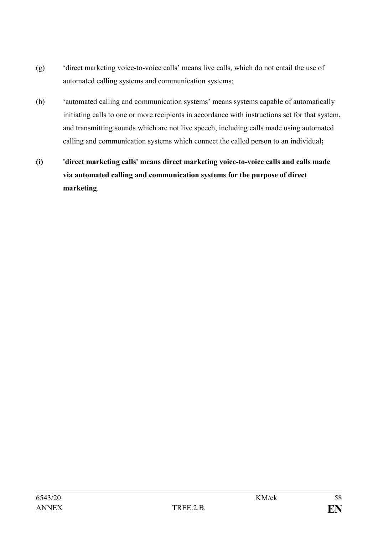- (g) 'direct marketing voice-to-voice calls' means live calls, which do not entail the use of automated calling systems and communication systems;
- (h) 'automated calling and communication systems' means systems capable of automatically initiating calls to one or more recipients in accordance with instructions set for that system, and transmitting sounds which are not live speech, including calls made using automated calling and communication systems which connect the called person to an individual**;**
- **(i) 'direct marketing calls' means direct marketing voice-to-voice calls and calls made via automated calling and communication systems for the purpose of direct marketing**.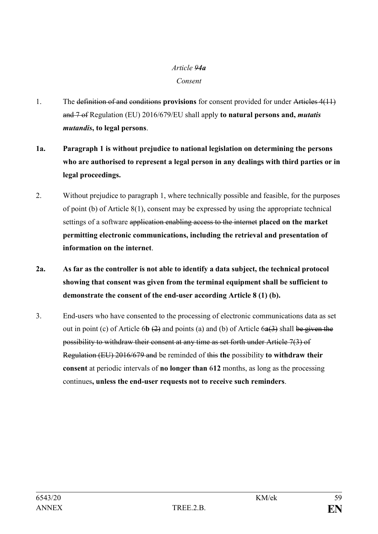### *Article 94a Consent*

- 1. The definition of and conditions **provisions** for consent provided for under Articles 4(11) and 7 of Regulation (EU) 2016/679/EU shall apply **to natural persons and,** *mutatis mutandis***, to legal persons**.
- **1a. Paragraph 1 is without prejudice to national legislation on determining the persons who are authorised to represent a legal person in any dealings with third parties or in legal proceedings.**
- 2. Without prejudice to paragraph 1, where technically possible and feasible, for the purposes of point (b) of Article 8(1), consent may be expressed by using the appropriate technical settings of a software application enabling access to the internet **placed on the market permitting electronic communications, including the retrieval and presentation of information on the internet**.
- **2a. As far as the controller is not able to identify a data subject, the technical protocol showing that consent was given from the terminal equipment shall be sufficient to demonstrate the consent of the end-user according Article 8 (1) (b).**
- 3. End-users who have consented to the processing of electronic communications data as set out in point (c) of Article 6**b** (2) and points (a) and (b) of Article 6**a**(3) shall be given the possibility to withdraw their consent at any time as set forth under Article 7(3) of Regulation (EU) 2016/679 and be reminded of this **the** possibility **to withdraw their consent** at periodic intervals of **no longer than** 6**12** months, as long as the processing continues**, unless the end-user requests not to receive such reminders**.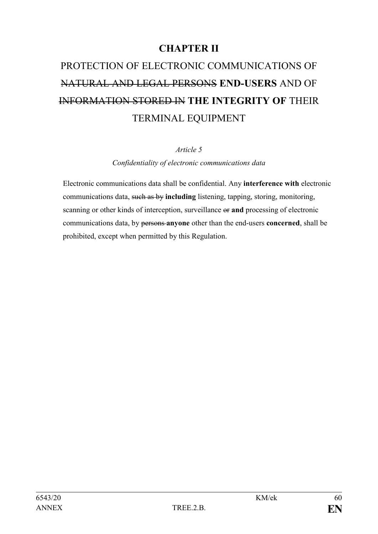# **CHAPTER II**

# PROTECTION OF ELECTRONIC COMMUNICATIONS OF NATURAL AND LEGAL PERSONS **END-USERS** AND OF INFORMATION STORED IN **THE INTEGRITY OF** THEIR TERMINAL EQUIPMENT

*Article 5*

*Confidentiality of electronic communications data*

Electronic communications data shall be confidential. Any **interference with** electronic communications data, such as by **including** listening, tapping, storing, monitoring, scanning or other kinds of interception, surveillance or **and** processing of electronic communications data, by persons **anyone** other than the end-users **concerned**, shall be prohibited, except when permitted by this Regulation.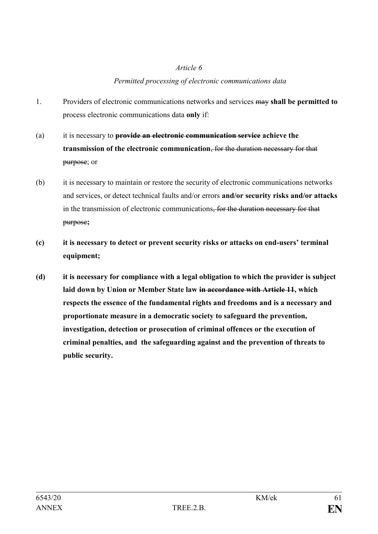## *Permitted processing of electronic communications data*

- 1. Providers of electronic communications networks and services may **shall be permitted to** process electronic communications data **only** if:
- (a) it is necessary to **provide an electronic communication service achieve the transmission of the electronic communication**, for the duration necessary for that purpose; or
- (b) it is necessary to maintain or restore the security of electronic communications networks and services, or detect technical faults and/or errors **and/or security risks and/or attacks** in the transmission of electronic communications, for the duration necessary for that purpose**;**
- **(c) it is necessary to detect or prevent security risks or attacks on end-users' terminal equipment;**
- **(d) it is necessary for compliance with a legal obligation to which the provider is subject laid down by Union or Member State law in accordance with Article 11, which respects the essence of the fundamental rights and freedoms and is a necessary and proportionate measure in a democratic society to safeguard the prevention, investigation, detection or prosecution of criminal offences or the execution of criminal penalties, and the safeguarding against and the prevention of threats to public security.**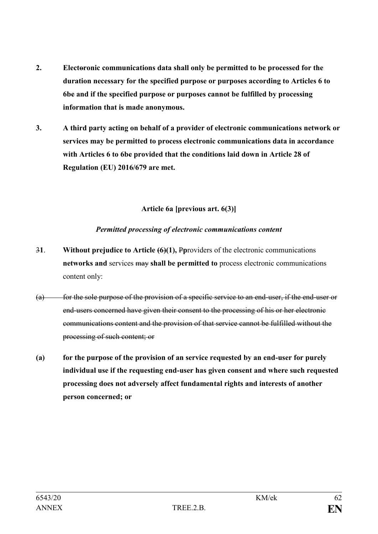- **2. Electoronic communications data shall only be permitted to be processed for the duration necessary for the specified purpose or purposes according to Articles 6 to 6bc and if the specified purpose or purposes cannot be fulfilled by processing information that is made anonymous.**
- **3. A third party acting on behalf of a provider of electronic communications network or services may be permitted to process electronic communications data in accordance with Articles 6 to 6bc provided that the conditions laid down in Article 28 of Regulation (EU) 2016/679 are met.**

### **Article 6a [previous art. 6(3)]**

### *Permitted processing of electronic communications content*

- 3**1**. **Without prejudice to Article (6)(1),** P**p**roviders of the electronic communications **networks and** services may **shall be permitted to** process electronic communications content only:
- $(a)$  for the sole purpose of the provision of a specific service to an end-user, if the end-user or end-users concerned have given their consent to the processing of his or her electronic communications content and the provision of that service cannot be fulfilled without the processing of such content; or
- **(a) for the purpose of the provision of an service requested by an end-user for purely individual use if the requesting end-user has given consent and where such requested processing does not adversely affect fundamental rights and interests of another person concerned; or**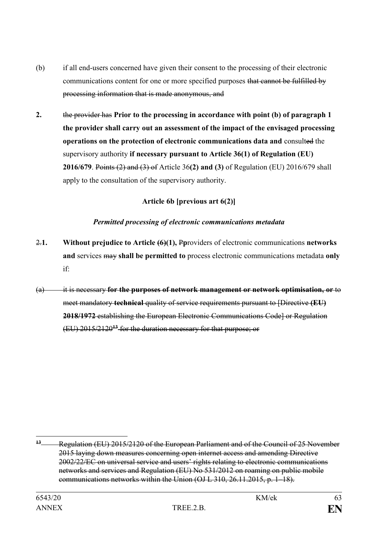- (b) if all end-users concerned have given their consent to the processing of their electronic communications content for one or more specified purposes that cannot be fulfilled by processing information that is made anonymous, and
- **2.** the provider has **Prior to the processing in accordance with point (b) of paragraph 1 the provider shall carry out an assessment of the impact of the envisaged processing operations on the protection of electronic communications data and** consulted the supervisory authority **if necessary pursuant to Article 36(1) of Regulation (EU) 2016/679**. Points (2) and (3) of Article 36**(2) and (3)** of Regulation (EU) 2016/679 shall apply to the consultation of the supervisory authority.

### **Article 6b [previous art 6(2)]**

### *Permitted processing of electronic communications metadata*

- 2.**1. Without prejudice to Article (6)(1),** P**p**roviders of electronic communications **networks and** services may **shall be permitted to** process electronic communications metadata **only** if:
- (a) it is necessary **for the purposes of network management or network optimisation, or** to meet mandatory **technical** quality of service requirements pursuant to [Directive **(EU) 2018/1972** establishing the European Electronic Communications Code] or Regulation (EU) 2015/2120**<sup>13</sup>** for the duration necessary for that purpose; or

1

<sup>&</sup>lt;sup>13</sup> Regulation (EU) 2015/2120 of the European Parliament and of the Council of 25 November 2015 laying down measures concerning open internet access and amending Directive 2002/22/EC on universal service and users' rights relating to electronic communications networks and services and Regulation (EU) No 531/2012 on roaming on public mobile communications networks within the Union (OJ L 310, 26.11.2015, p. 1–18).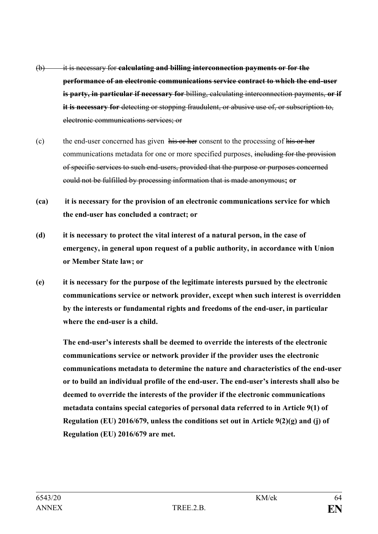- (b) it is necessary for **calculating and billing interconnection payments or for the performance of an electronic communications service contract to which the end-user is party, in particular if necessary for** billing, calculating interconnection payments, **or if**  it is necessary for detecting or stopping fraudulent, or abusive use of, or subscription to, electronic communications services; or
- (c) the end-user concerned has given his or her consent to the processing of his or her communications metadata for one or more specified purposes, including for the provision of specific services to such end-users, provided that the purpose or purposes concerned could not be fulfilled by processing information that is made anonymous**; or**
- **(ca) it is necessary for the provision of an electronic communications service for which the end-user has concluded a contract; or**
- **(d) it is necessary to protect the vital interest of a natural person, in the case of emergency, in general upon request of a public authority, in accordance with Union or Member State law; or**
- **(e) it is necessary for the purpose of the legitimate interests pursued by the electronic communications service or network provider, except when such interest is overridden by the interests or fundamental rights and freedoms of the end-user, in particular where the end-user is a child.**

**The end-user's interests shall be deemed to override the interests of the electronic communications service or network provider if the provider uses the electronic communications metadata to determine the nature and characteristics of the end-user or to build an individual profile of the end-user. The end-user's interests shall also be deemed to override the interests of the provider if the electronic communications metadata contains special categories of personal data referred to in Article 9(1) of Regulation (EU) 2016/679, unless the conditions set out in Article 9(2)(g) and (j) of Regulation (EU) 2016/679 are met.**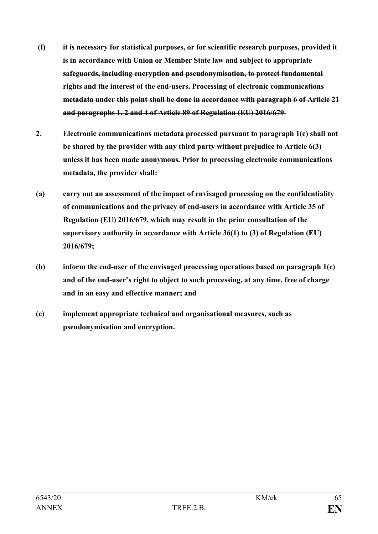- **(f) it is necessary for statistical purposes, or for scientific research purposes, provided it is in accordance with Union or Member State law and subject to appropriate safeguards, including encryption and pseudonymisation, to protect fundamental rights and the interest of the end-users. Processing of electronic communications metadata under this point shall be done in accordance with paragraph 6 of Article 21 and paragraphs 1, 2 and 4 of Article 89 of Regulation (EU) 2016/679**.
- **2. Electronic communications metadata processed pursuant to paragraph 1(e) shall not be shared by the provider with any third party without prejudice to Article 6(3) unless it has been made anonymous. Prior to processing electronic communications metadata, the provider shall:**
- **(a) carry out an assessment of the impact of envisaged processing on the confidentiality of communications and the privacy of end-users in accordance with Article 35 of Regulation (EU) 2016/679, which may result in the prior consultation of the supervisory authority in accordance with Article 36(1) to (3) of Regulation (EU) 2016/679;**
- **(b) inform the end-user of the envisaged processing operations based on paragraph 1(e) and of the end-user's right to object to such processing, at any time, free of charge and in an easy and effective manner; and**
- **(c) implement appropriate technical and organisational measures, such as pseudonymisation and encryption.**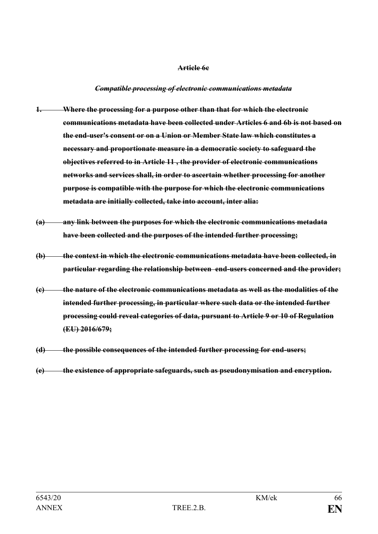#### **Article 6c**

#### *Compatible processing of electronic communications metadata*

- **1. Where the processing for a purpose other than that for which the electronic communications metadata have been collected under Articles 6 and 6b is not based on the end-user's consent or on a Union or Member State law which constitutes a necessary and proportionate measure in a democratic society to safeguard the objectives referred to in Article 11 , the provider of electronic communications networks and services shall, in order to ascertain whether processing for another purpose is compatible with the purpose for which the electronic communications metadata are initially collected, take into account, inter alia:**
- **(a) any link between the purposes for which the electronic communications metadata have been collected and the purposes of the intended further processing;**
- **(b) the context in which the electronic communications metadata have been collected, in particular regarding the relationship between end-users concerned and the provider;**
- **(c) the nature of the electronic communications metadata as well as the modalities of the intended further processing, in particular where such data or the intended further processing could reveal categories of data, pursuant to Article 9 or 10 of Regulation (EU) 2016/679;**
- **(d) the possible consequences of the intended further processing for end-users;**
- **(e) the existence of appropriate safeguards, such as pseudonymisation and encryption.**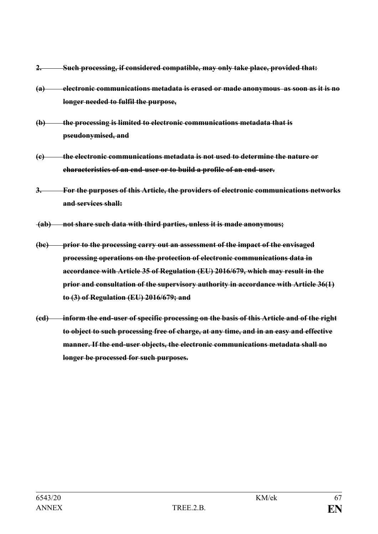- **2. Such processing, if considered compatible, may only take place, provided that:**
- **(a) electronic communications metadata is erased or made anonymous as soon as it is no longer needed to fulfil the purpose,**
- **(b) the processing is limited to electronic communications metadata that is pseudonymised, and**
- **(c) the electronic communications metadata is not used to determine the nature or characteristics of an end-user or to build a profile of an end-user.**
- **3. For the purposes of this Article, the providers of electronic communications networks and services shall:**
- **(ab) not share such data with third parties, unless it is made anonymous;**
- **(bc) prior to the processing carry out an assessment of the impact of the envisaged processing operations on the protection of electronic communications data in accordance with Article 35 of Regulation (EU) 2016/679, which may result in the prior and consultation of the supervisory authority in accordance with Article 36(1) to (3) of Regulation (EU) 2016/679; and**
- **(cd) inform the end-user of specific processing on the basis of this Article and of the right to object to such processing free of charge, at any time, and in an easy and effective manner. If the end-user objects, the electronic communications metadata shall no longer be processed for such purposes.**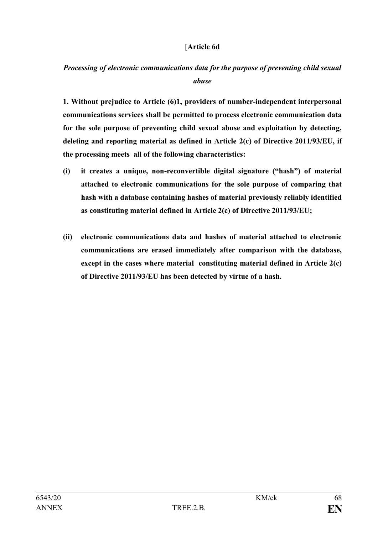### [**Article 6d**

## *Processing of electronic communications data for the purpose of preventing child sexual abuse*

**1. Without prejudice to Article (6)1, providers of number-independent interpersonal communications services shall be permitted to process electronic communication data for the sole purpose of preventing child sexual abuse and exploitation by detecting, deleting and reporting material as defined in Article 2(c) of Directive 2011/93/EU, if the processing meets all of the following characteristics:**

- **(i) it creates a unique, non-reconvertible digital signature ("hash") of material attached to electronic communications for the sole purpose of comparing that hash with a database containing hashes of material previously reliably identified as constituting material defined in Article 2(c) of Directive 2011/93/EU;**
- **(ii) electronic communications data and hashes of material attached to electronic communications are erased immediately after comparison with the database, except in the cases where material constituting material defined in Article 2(c) of Directive 2011/93/EU has been detected by virtue of a hash.**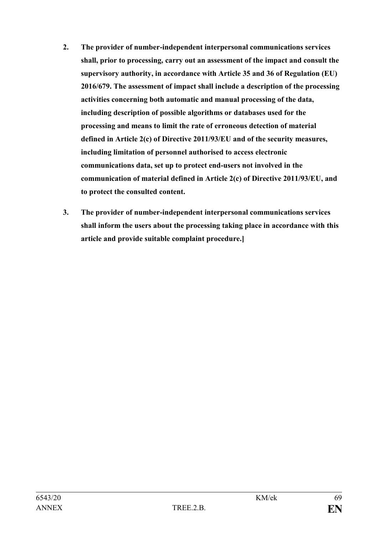- **2. The provider of number-independent interpersonal communications services shall, prior to processing, carry out an assessment of the impact and consult the supervisory authority, in accordance with Article 35 and 36 of Regulation (EU) 2016/679. The assessment of impact shall include a description of the processing activities concerning both automatic and manual processing of the data, including description of possible algorithms or databases used for the processing and means to limit the rate of erroneous detection of material defined in Article 2(c) of Directive 2011/93/EU and of the security measures, including limitation of personnel authorised to access electronic communications data, set up to protect end-users not involved in the communication of material defined in Article 2(c) of Directive 2011/93/EU, and to protect the consulted content.**
- **3. The provider of number-independent interpersonal communications services shall inform the users about the processing taking place in accordance with this article and provide suitable complaint procedure.]**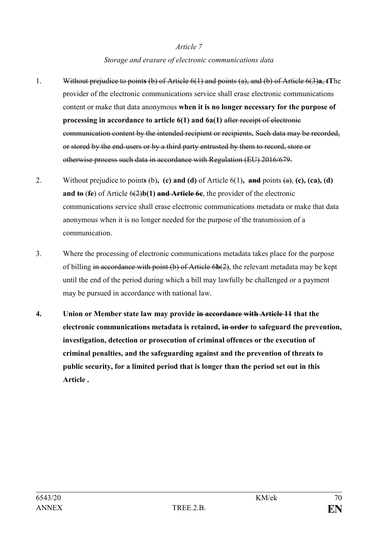## *Article 7 Storage and erasure of electronic communications data*

- 1. Without prejudice to point**s** (b) of Article 6(1) and points (a), and (b) of Article 6(3)**a**, **tT**he provider of the electronic communications service shall erase electronic communications content or make that data anonymous **when it is no longer necessary for the purpose of processing in accordance to article 6(1) and 6a(1)** after receipt of electronic communication content by the intended recipient or recipients**.** Such data may be recorded, or stored by the end-users or by a third party entrusted by them to record, store or otherwise process such data in accordance with Regulation (EU) 2016/679.
- 2. Without prejudice to point**s** (b)**, (c) and (d)** of Article 6(1)**, and** points (a), **(c), (ca), (d) and to** (**fe**) of Article 6(2)**b(1) and Article 6c**, the provider of the electronic communications service shall erase electronic communications metadata or make that data anonymous when it is no longer needed for the purpose of the transmission of a communication.
- 3. Where the processing of electronic communications metadata takes place for the purpose of billing in accordance with point (b) of Article 6**b**(2), the relevant metadata may be kept until the end of the period during which a bill may lawfully be challenged or a payment may be pursued in accordance with national law.
- **4. Union or Member state law may provide in accordance with Article 11 that the electronic communications metadata is retained, in order to safeguard the prevention, investigation, detection or prosecution of criminal offences or the execution of criminal penalties, and the safeguarding against and the prevention of threats to public security, for a limited period that is longer than the period set out in this Article .**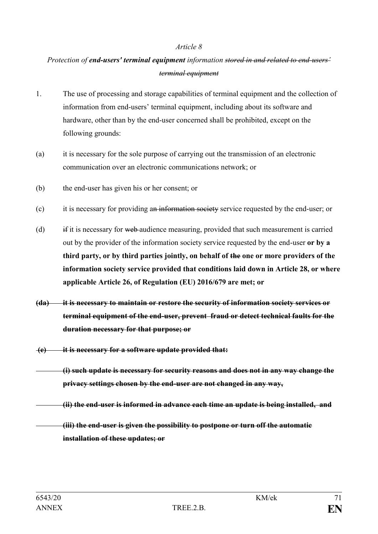## *Protection of end-users' terminal equipment information stored in and related to end-users' terminal equipment*

- 1. The use of processing and storage capabilities of terminal equipment and the collection of information from end-users' terminal equipment, including about its software and hardware, other than by the end-user concerned shall be prohibited, except on the following grounds:
- (a) it is necessary for the sole purpose of carrying out the transmission of an electronic communication over an electronic communications network; or
- (b) the end-user has given his or her consent; or
- (c) it is necessary for providing an information society service requested by the end-user; or
- (d) if it is necessary for web audience measuring, provided that such measurement is carried out by the provider of the information society service requested by the end-user **or by a third party, or by third parties jointly, on behalf of the one or more providers of the information society service provided that conditions laid down in Article 28, or where applicable Article 26, of Regulation (EU) 2016/679 are met; or**
- **(da) it is necessary to maintain or restore the security of information society services or terminal equipment of the end-user, prevent fraud or detect technical faults for the duration necessary for that purpose; or**
- **(e) it is necessary for a software update provided that:** 
	- **(i) such update is necessary for security reasons and does not in any way change the privacy settings chosen by the end-user are not changed in any way,**
	- **(ii) the end-user is informed in advance each time an update is being installed, and**

**(iii) the end-user is given the possibility to postpone or turn off the automatic installation of these updates; or**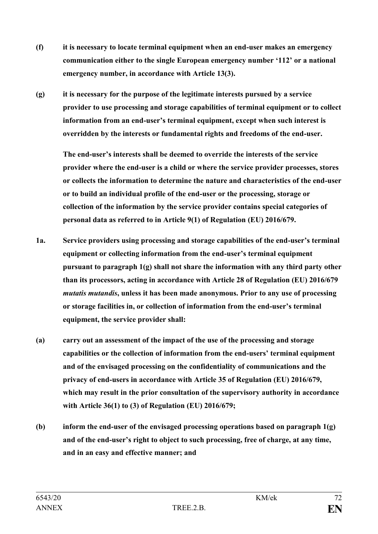- **(f) it is necessary to locate terminal equipment when an end-user makes an emergency communication either to the single European emergency number '112' or a national emergency number, in accordance with Article 13(3).**
- **(g) it is necessary for the purpose of the legitimate interests pursued by a service provider to use processing and storage capabilities of terminal equipment or to collect information from an end-user's terminal equipment, except when such interest is overridden by the interests or fundamental rights and freedoms of the end-user.**

**The end-user's interests shall be deemed to override the interests of the service provider where the end-user is a child or where the service provider processes, stores or collects the information to determine the nature and characteristics of the end-user or to build an individual profile of the end-user or the processing, storage or collection of the information by the service provider contains special categories of personal data as referred to in Article 9(1) of Regulation (EU) 2016/679.**

- **1a. Service providers using processing and storage capabilities of the end-user's terminal equipment or collecting information from the end-user's terminal equipment pursuant to paragraph 1(g) shall not share the information with any third party other than its processors, acting in accordance with Article 28 of Regulation (EU) 2016/679**  *mutatis mutandis***, unless it has been made anonymous. Prior to any use of processing or storage facilities in, or collection of information from the end-user's terminal equipment, the service provider shall:**
- **(a) carry out an assessment of the impact of the use of the processing and storage capabilities or the collection of information from the end-users' terminal equipment and of the envisaged processing on the confidentiality of communications and the privacy of end-users in accordance with Article 35 of Regulation (EU) 2016/679, which may result in the prior consultation of the supervisory authority in accordance with Article 36(1) to (3) of Regulation (EU) 2016/679;**
- **(b) inform the end-user of the envisaged processing operations based on paragraph 1(g) and of the end-user's right to object to such processing, free of charge, at any time, and in an easy and effective manner; and**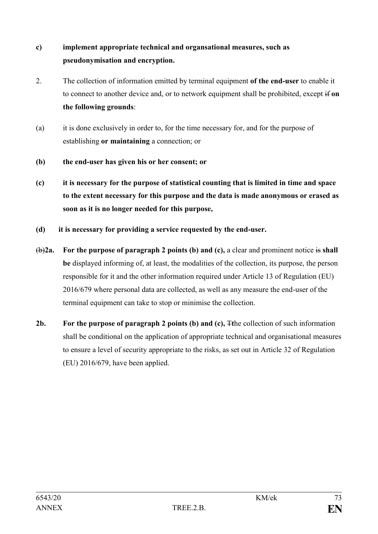# **c) implement appropriate technical and organsational measures, such as pseudonymisation and encryption.**

- 2. The collection of information emitted by terminal equipment **of the end-user** to enable it to connect to another device and, or to network equipment shall be prohibited, except if **on the following grounds**:
- (a) it is done exclusively in order to, for the time necessary for, and for the purpose of establishing **or maintaining** a connection; or
- **(b) the end-user has given his or her consent; or**
- **(c) it is necessary for the purpose of statistical counting that is limited in time and space to the extent necessary for this purpose and the data is made anonymous or erased as soon as it is no longer needed for this purpose,**
- **(d) it is necessary for providing a service requested by the end-user.**
- (b)**2a. For the purpose of paragraph 2 points (b) and (c),** a clear and prominent notice is **shall be** displayed informing of, at least, the modalities of the collection, its purpose, the person responsible for it and the other information required under Article 13 of Regulation (EU) 2016/679 where personal data are collected, as well as any measure the end-user of the terminal equipment can take to stop or minimise the collection.
- **2b. For the purpose of paragraph 2 points (b) and (c),** T**t**he collection of such information shall be conditional on the application of appropriate technical and organisational measures to ensure a level of security appropriate to the risks, as set out in Article 32 of Regulation (EU) 2016/679, have been applied.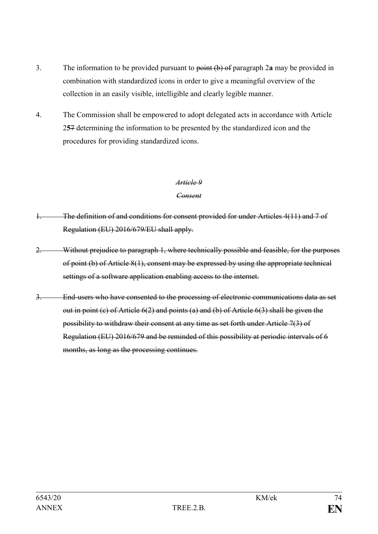- 3. The information to be provided pursuant to point (b) of paragraph 2**a** may be provided in combination with standardized icons in order to give a meaningful overview of the collection in an easily visible, intelligible and clearly legible manner.
- 4. The Commission shall be empowered to adopt delegated acts in accordance with Article 2**5**7 determining the information to be presented by the standardized icon and the procedures for providing standardized icons.

#### *Consent*

- 1. The definition of and conditions for consent provided for under Articles 4(11) and 7 of Regulation (EU) 2016/679/EU shall apply.
- 2. Without prejudice to paragraph 1, where technically possible and feasible, for the purposes of point (b) of Article 8(1), consent may be expressed by using the appropriate technical settings of a software application enabling access to the internet.
- 3. End-users who have consented to the processing of electronic communications data as set out in point (c) of Article 6(2) and points (a) and (b) of Article 6(3) shall be given the possibility to withdraw their consent at any time as set forth under Article 7(3) of Regulation (EU) 2016/679 and be reminded of this possibility at periodic intervals of 6 months, as long as the processing continues.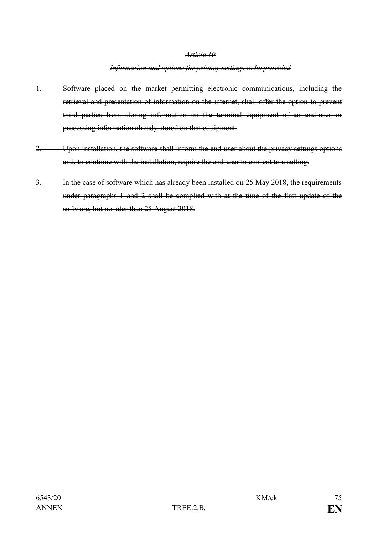#### *Information and options for privacy settings to be provided*

- 1. Software placed on the market permitting electronic communications, including the retrieval and presentation of information on the internet, shall offer the option to prevent third parties from storing information on the terminal equipment of an end-user or processing information already stored on that equipment.
- 2. Upon installation, the software shall inform the end-user about the privacy settings options and, to continue with the installation, require the end-user to consent to a setting.
- 3. In the case of software which has already been installed on 25 May 2018, the requirements under paragraphs 1 and 2 shall be complied with at the time of the first update of the software, but no later than 25 August 2018.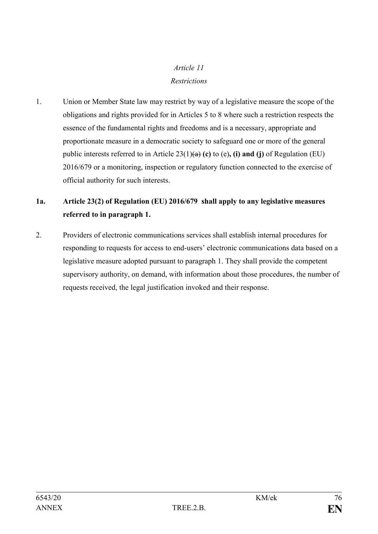# *Article 11 Restrictions*

1. Union or Member State law may restrict by way of a legislative measure the scope of the obligations and rights provided for in Articles 5 to 8 where such a restriction respects the essence of the fundamental rights and freedoms and is a necessary, appropriate and proportionate measure in a democratic society to safeguard one or more of the general public interests referred to in Article  $23(1)(a)$  (c) to (e), (i) and (j) of Regulation (EU) 2016/679 or a monitoring, inspection or regulatory function connected to the exercise of official authority for such interests.

## **1a. Article 23(2) of Regulation (EU) 2016/679 shall apply to any legislative measures referred to in paragraph 1.**

2. Providers of electronic communications services shall establish internal procedures for responding to requests for access to end-users' electronic communications data based on a legislative measure adopted pursuant to paragraph 1. They shall provide the competent supervisory authority, on demand, with information about those procedures, the number of requests received, the legal justification invoked and their response.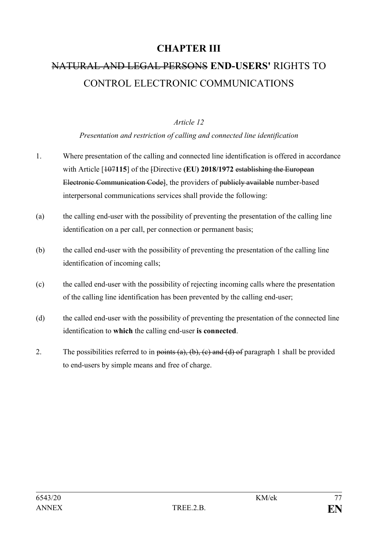# **CHAPTER III**

# NATURAL AND LEGAL PERSONS **END-USERS'** RIGHTS TO CONTROL ELECTRONIC COMMUNICATIONS

#### *Article 12*

#### *Presentation and restriction of calling and connected line identification*

- 1. Where presentation of the calling and connected line identification is offered in accordance with Article [107115] of the [Directive **(EU) 2018/1972** establishing the European Electronic Communication Code], the providers of publicly available number-based interpersonal communications services shall provide the following:
- (a) the calling end-user with the possibility of preventing the presentation of the calling line identification on a per call, per connection or permanent basis;
- (b) the called end-user with the possibility of preventing the presentation of the calling line identification of incoming calls;
- (c) the called end-user with the possibility of rejecting incoming calls where the presentation of the calling line identification has been prevented by the calling end-user;
- (d) the called end-user with the possibility of preventing the presentation of the connected line identification to **which** the calling end-user **is connected**.
- 2. The possibilities referred to in points  $(a)$ ,  $(b)$ ,  $(c)$  and  $(d)$  of paragraph 1 shall be provided to end-users by simple means and free of charge.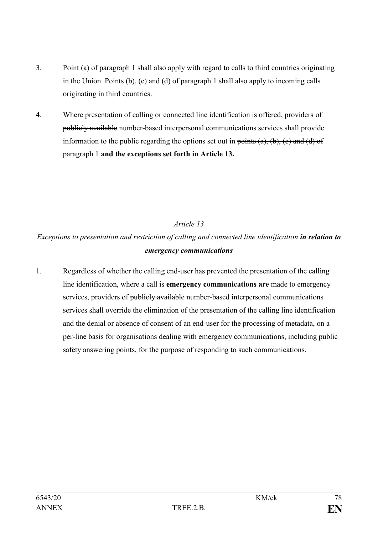- 3. Point (a) of paragraph 1 shall also apply with regard to calls to third countries originating in the Union. Points (b), (c) and (d) of paragraph 1 shall also apply to incoming calls originating in third countries.
- 4. Where presentation of calling or connected line identification is offered, providers of publicly available number-based interpersonal communications services shall provide information to the public regarding the options set out in points  $(a)$ ,  $(b)$ ,  $(c)$  and  $(d)$  of paragraph 1 **and the exceptions set forth in Article 13.**

*Exceptions to presentation and restriction of calling and connected line identification in relation to emergency communications*

1. Regardless of whether the calling end-user has prevented the presentation of the calling line identification, where a call is **emergency communications are** made to emergency services, providers of publicly available number-based interpersonal communications services shall override the elimination of the presentation of the calling line identification and the denial or absence of consent of an end-user for the processing of metadata, on a per-line basis for organisations dealing with emergency communications, including public safety answering points, for the purpose of responding to such communications.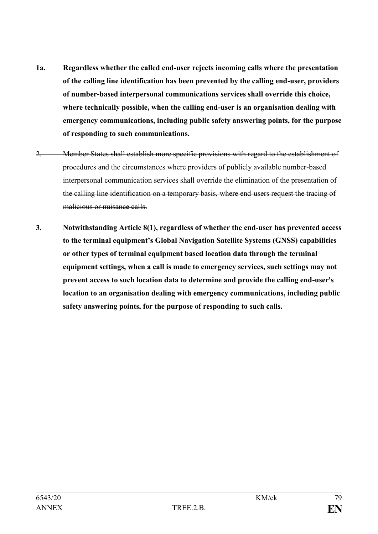- **1a. Regardless whether the called end-user rejects incoming calls where the presentation of the calling line identification has been prevented by the calling end-user, providers of number-based interpersonal communications services shall override this choice, where technically possible, when the calling end-user is an organisation dealing with emergency communications, including public safety answering points, for the purpose of responding to such communications.**
- 2. Member States shall establish more specific provisions with regard to the establishment of procedures and the circumstances where providers of publicly available number-based interpersonal communication services shall override the elimination of the presentation of the calling line identification on a temporary basis, where end-users request the tracing of malicious or nuisance calls.
- **3. Notwithstanding Article 8(1), regardless of whether the end-user has prevented access to the terminal equipment's Global Navigation Satellite Systems (GNSS) capabilities or other types of terminal equipment based location data through the terminal equipment settings, when a call is made to emergency services, such settings may not prevent access to such location data to determine and provide the calling end-user's location to an organisation dealing with emergency communications, including public safety answering points, for the purpose of responding to such calls.**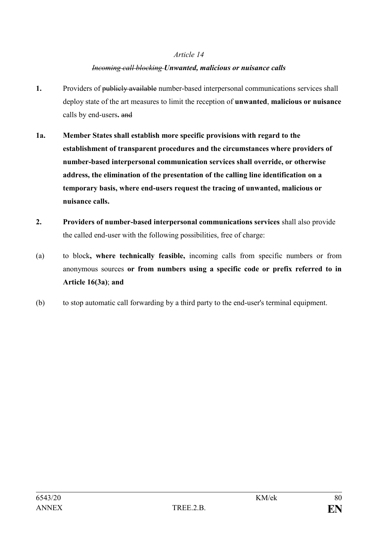#### *Incoming call blocking Unwanted, malicious or nuisance calls*

- **1.** Providers of publicly available number-based interpersonal communications services shall deploy state of the art measures to limit the reception of **unwanted**, **malicious or nuisance** calls by end-users**.** and
- **1a. Member States shall establish more specific provisions with regard to the establishment of transparent procedures and the circumstances where providers of number-based interpersonal communication services shall override, or otherwise address, the elimination of the presentation of the calling line identification on a temporary basis, where end-users request the tracing of unwanted, malicious or nuisance calls.**
- **2. Providers of number-based interpersonal communications services** shall also provide the called end-user with the following possibilities, free of charge:
- (a) to block**, where technically feasible,** incoming calls from specific numbers or from anonymous sources **or from numbers using a specific code or prefix referred to in Article 16(3a)**; **and**
- (b) to stop automatic call forwarding by a third party to the end-user's terminal equipment.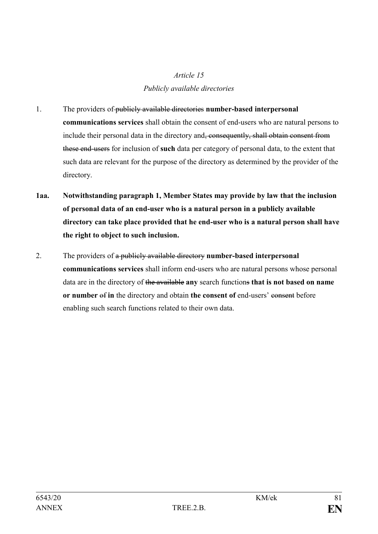# *Article 15 Publicly available directories*

- 1. The providers of publicly available directories **number-based interpersonal communications services** shall obtain the consent of end-users who are natural persons to include their personal data in the directory and<del>, consequently, shall obtain consent from</del> these end-users for inclusion of **such** data per category of personal data, to the extent that such data are relevant for the purpose of the directory as determined by the provider of the directory.
- **1aa. Notwithstanding paragraph 1, Member States may provide by law that the inclusion of personal data of an end-user who is a natural person in a publicly available directory can take place provided that he end-user who is a natural person shall have the right to object to such inclusion.**
- 2. The providers of a publicly available directory **number-based interpersonal communications services** shall inform end-users who are natural persons whose personal data are in the directory of the available **any** search functions **that is not based on name or number** of **in** the directory and obtain **the consent of** end-users' consent before enabling such search functions related to their own data.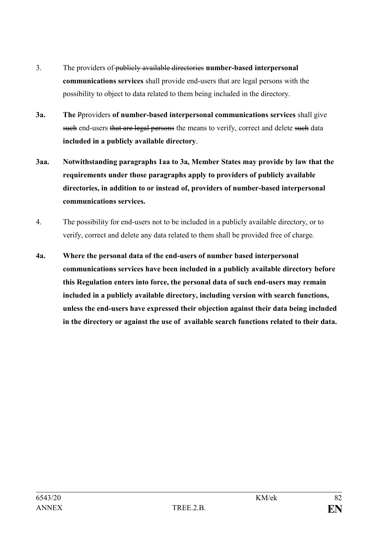- 3. The providers of publicly available directories **number-based interpersonal communications services** shall provide end-users that are legal persons with the possibility to object to data related to them being included in the directory.
- **3a. The** Pproviders **of number-based interpersonal communications services** shall give such end-users that are legal persons the means to verify, correct and delete such data **included in a publicly available directory**.
- **3aa. Notwithstanding paragraphs 1aa to 3a, Member States may provide by law that the requirements under those paragraphs apply to providers of publicly available directories, in addition to or instead of, providers of number-based interpersonal communications services.**
- 4. The possibility for end-users not to be included in a publicly available directory, or to verify, correct and delete any data related to them shall be provided free of charge.
- **4a. Where the personal data of the end-users of number based interpersonal communications services have been included in a publicly available directory before this Regulation enters into force, the personal data of such end-users may remain included in a publicly available directory, including version with search functions, unless the end-users have expressed their objection against their data being included in the directory or against the use of available search functions related to their data.**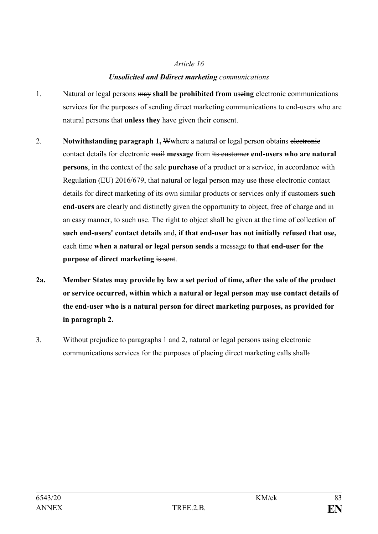## *Unsolicited and Ddirect marketing communications*

- 1. Natural or legal persons may **shall be prohibited from** use**ing** electronic communications services for the purposes of sending direct marketing communications to end-users who are natural persons that **unless they** have given their consent.
- 2. **Notwithstanding paragraph 1, W**where a natural or legal person obtains electronic contact details for electronic mail **message** from its customer **end-users who are natural persons**, in the context of the sale **purchase** of a product or a service, in accordance with Regulation (EU) 2016/679, that natural or legal person may use these electronic contact details for direct marketing of its own similar products or services only if customers **such end-users** are clearly and distinctly given the opportunity to object, free of charge and in an easy manner, to such use. The right to object shall be given at the time of collection **of such end-users' contact details** and**, if that end-user has not initially refused that use,** each time **when a natural or legal person sends** a message **to that end-user for the purpose of direct marketing** is sent.
- **2a. Member States may provide by law a set period of time, after the sale of the product or service occurred, within which a natural or legal person may use contact details of the end-user who is a natural person for direct marketing purposes, as provided for in paragraph 2.**
- 3. Without prejudice to paragraphs 1 and 2, natural or legal persons using electronic communications services for the purposes of placing direct marketing calls shall: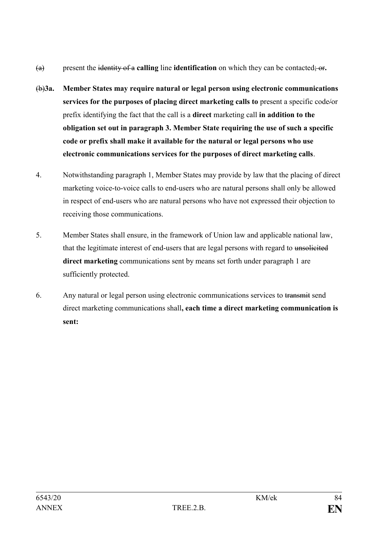- (a) present the identity of a **calling** line **identification** on which they can be contacted; or**.**
- (b)**3a. Member States may require natural or legal person using electronic communications services for the purposes of placing direct marketing calls to** present a specific code/or prefix identifying the fact that the call is a **direct** marketing call **in addition to the obligation set out in paragraph 3. Member State requiring the use of such a specific code or prefix shall make it available for the natural or legal persons who use electronic communications services for the purposes of direct marketing calls**.
- 4. Notwithstanding paragraph 1, Member States may provide by law that the placing of direct marketing voice-to-voice calls to end-users who are natural persons shall only be allowed in respect of end-users who are natural persons who have not expressed their objection to receiving those communications.
- 5. Member States shall ensure, in the framework of Union law and applicable national law, that the legitimate interest of end-users that are legal persons with regard to unsolicited **direct marketing** communications sent by means set forth under paragraph 1 are sufficiently protected.
- 6. Any natural or legal person using electronic communications services to transmit send direct marketing communications shall**, each time a direct marketing communication is sent:**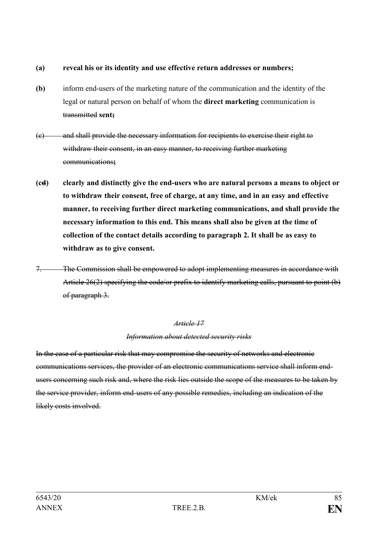#### **(a) reveal his or its identity and use effective return addresses or numbers;**

- **(b)** inform end-users of the marketing nature of the communication and the identity of the legal or natural person on behalf of whom the **direct marketing** communication is transmitted **sent;**
- (c) and shall provide the necessary information for recipients to exercise their right to withdraw their consent, in an easy manner, to receiving further marketing communications**;**
- **(cd) clearly and distinctly give the end-users who are natural persons a means to object or to withdraw their consent, free of charge, at any time, and in an easy and effective manner, to receiving further direct marketing communications, and shall provide the necessary information to this end. This means shall also be given at the time of collection of the contact details according to paragraph 2. It shall be as easy to withdraw as to give consent.**
- 7. The Commission shall be empowered to adopt implementing measures in accordance with Article 26(2) specifying the code/or prefix to identify marketing calls, pursuant to point (b) of paragraph 3.

#### *Article 17*

#### *Information about detected security risks*

In the case of a particular risk that may compromise the security of networks and electronic communications services, the provider of an electronic communications service shall inform endusers concerning such risk and, where the risk lies outside the scope of the measures to be taken by the service provider, inform end-users of any possible remedies, including an indication of the likely costs involved.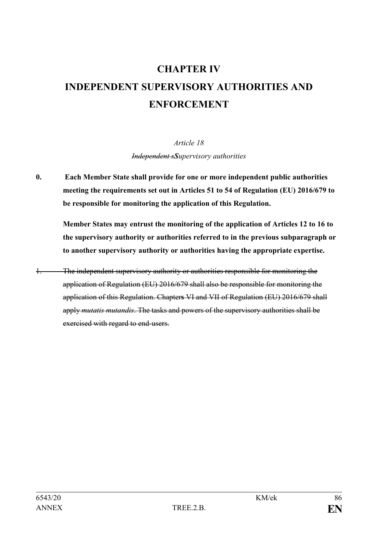# **CHAPTER IV INDEPENDENT SUPERVISORY AUTHORITIES AND ENFORCEMENT**

*Article 18 Independent sSupervisory authorities*

**0. Each Member State shall provide for one or more independent public authorities meeting the requirements set out in Articles 51 to 54 of Regulation (EU) 2016/679 to be responsible for monitoring the application of this Regulation.** 

**Member States may entrust the monitoring of the application of Articles 12 to 16 to the supervisory authority or authorities referred to in the previous subparagraph or to another supervisory authority or authorities having the appropriate expertise.** 

1. The independent supervisory authority or authorities responsible for monitoring the application of Regulation (EU) 2016/679 shall also be responsible for monitoring the application of this Regulation. Chapter**s** VI and VII of Regulation (EU) 2016/679 shall apply *mutatis mutandis*. The tasks and powers of the supervisory authorities shall be exercised with regard to end-users.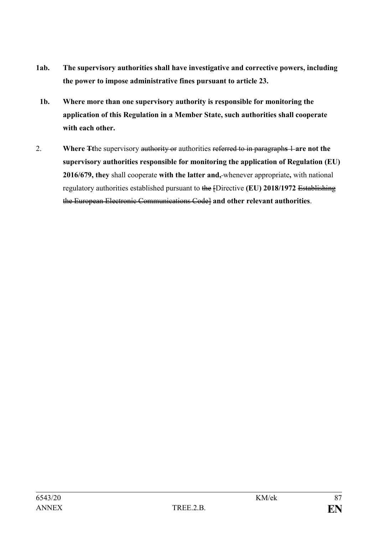- **1ab. The supervisory authorities shall have investigative and corrective powers, including the power to impose administrative fines pursuant to article 23.**
- **1b. Where more than one supervisory authority is responsible for monitoring the application of this Regulation in a Member State, such authorities shall cooperate with each other.**
- 2. **Where Tt**he supervisory authority or authorities referred to in paragraph**s** 1 **are not the supervisory authorities responsible for monitoring the application of Regulation (EU) 2016/679, they** shall cooperate **with the latter and,** whenever appropriate**,** with national regulatory authorities established pursuant to the [Directive **(EU) 2018/1972** Establishing the European Electronic Communications Code] **and other relevant authorities**.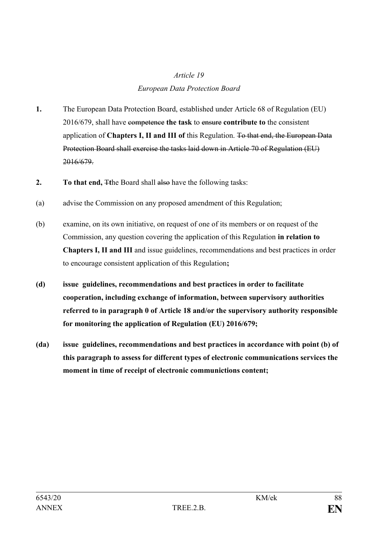# *Article 19 European Data Protection Board*

- **1.** The European Data Protection Board, established under Article 68 of Regulation (EU) 2016/679, shall have competence **the task** to ensure **contribute to** the consistent application of **Chapters I, II and III of** this Regulation. To that end, the European Data Protection Board shall exercise the tasks laid down in Article 70 of Regulation (EU) 2016/679.
- **2. To that end,** The Board shall also have the following tasks:
- (a) advise the Commission on any proposed amendment of this Regulation;
- (b) examine, on its own initiative, on request of one of its members or on request of the Commission, any question covering the application of this Regulation **in relation to Chapters I, II and III** and issue guidelines, recommendations and best practices in order to encourage consistent application of this Regulation**;**
- **(d) issue guidelines, recommendations and best practices in order to facilitate cooperation, including exchange of information, between supervisory authorities referred to in paragraph 0 of Article 18 and/or the supervisory authority responsible for monitoring the application of Regulation (EU) 2016/679;**
- **(da) issue guidelines, recommendations and best practices in accordance with point (b) of this paragraph to assess for different types of electronic communications services the moment in time of receipt of electronic communictions content;**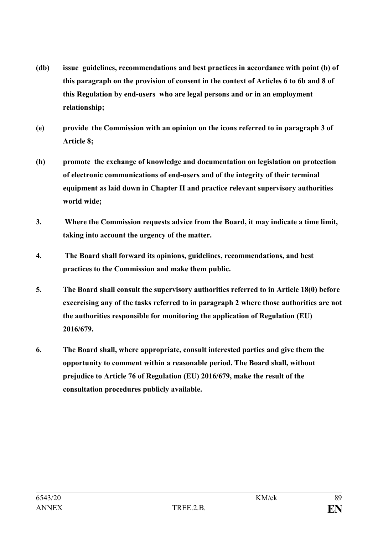- **(db) issue guidelines, recommendations and best practices in accordance with point (b) of this paragraph on the provision of consent in the context of Articles 6 to 6b and 8 of this Regulation by end-users who are legal persons and or in an employment relationship;**
- **(e) provide the Commission with an opinion on the icons referred to in paragraph 3 of Article 8;**
- **(h) promote the exchange of knowledge and documentation on legislation on protection of electronic communications of end-users and of the integrity of their terminal equipment as laid down in Chapter II and practice relevant supervisory authorities world wide;**
- **3. Where the Commission requests advice from the Board, it may indicate a time limit, taking into account the urgency of the matter.**
- **4. The Board shall forward its opinions, guidelines, recommendations, and best practices to the Commission and make them public.**
- **5. The Board shall consult the supervisory authorities referred to in Article 18(0) before excercising any of the tasks referred to in paragraph 2 where those authorities are not the authorities responsible for monitoring the application of Regulation (EU) 2016/679.**
- **6. The Board shall, where appropriate, consult interested parties and give them the opportunity to comment within a reasonable period. The Board shall, without prejudice to Article 76 of Regulation (EU) 2016/679, make the result of the consultation procedures publicly available.**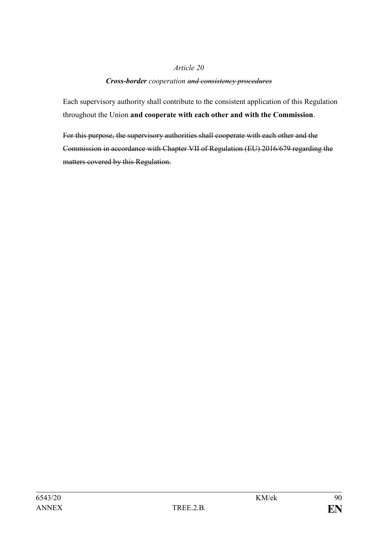#### *Cross-border cooperation and consistency procedures*

Each supervisory authority shall contribute to the consistent application of this Regulation throughout the Union **and cooperate with each other and with the Commission**.

For this purpose, the supervisory authorities shall cooperate with each other and the Commission in accordance with Chapter VII of Regulation (EU) 2016/679 regarding the matters covered by this Regulation.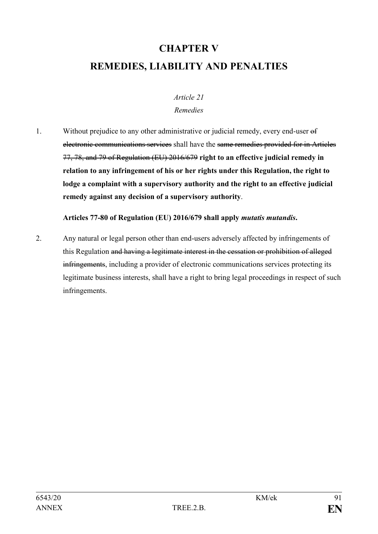# **CHAPTER V REMEDIES, LIABILITY AND PENALTIES**

### *Article 21 Remedies*

1. Without prejudice to any other administrative or judicial remedy, every end-user of electronic communications services shall have the same remedies provided for in Articles 77, 78, and 79 of Regulation (EU) 2016/679 **right to an effective judicial remedy in relation to any infringement of his or her rights under this Regulation, the right to lodge a complaint with a supervisory authority and the right to an effective judicial remedy against any decision of a supervisory authority**.

**Articles 77-80 of Regulation (EU) 2016/679 shall apply** *mutatis mutandis***.** 

2. Any natural or legal person other than end-users adversely affected by infringements of this Regulation and having a legitimate interest in the cessation or prohibition of alleged infringements, including a provider of electronic communications services protecting its legitimate business interests, shall have a right to bring legal proceedings in respect of such infringements.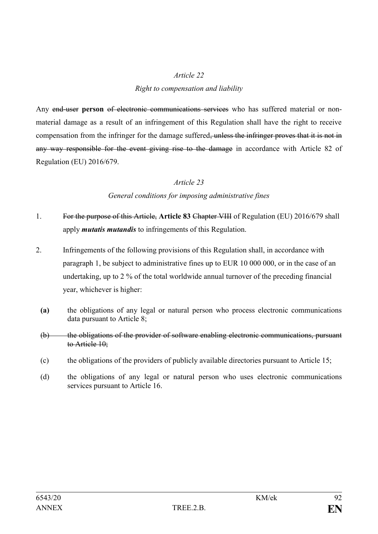#### *Right to compensation and liability*

Any end-user person of electronic communications services who has suffered material or nonmaterial damage as a result of an infringement of this Regulation shall have the right to receive compensation from the infringer for the damage suffered<del>, unless the infringer proves that it is not in</del> any way responsible for the event giving rise to the damage in accordance with Article 82 of Regulation (EU) 2016/679.

#### *Article 23*

#### *General conditions for imposing administrative fines*

- 1. For the purpose of this Article, **Article 83** Chapter VIII of Regulation (EU) 2016/679 shall apply *mutatis mutandis* to infringements of this Regulation.
- 2. Infringements of the following provisions of this Regulation shall, in accordance with paragraph 1, be subject to administrative fines up to EUR 10 000 000, or in the case of an undertaking, up to 2 % of the total worldwide annual turnover of the preceding financial year, whichever is higher:
	- **(a)** the obligations of any legal or natural person who process electronic communications data pursuant to Article 8;
	- (b) the obligations of the provider of software enabling electronic communications, pursuant to Article 10;
	- (c) the obligations of the providers of publicly available directories pursuant to Article 15;
	- (d) the obligations of any legal or natural person who uses electronic communications services pursuant to Article 16.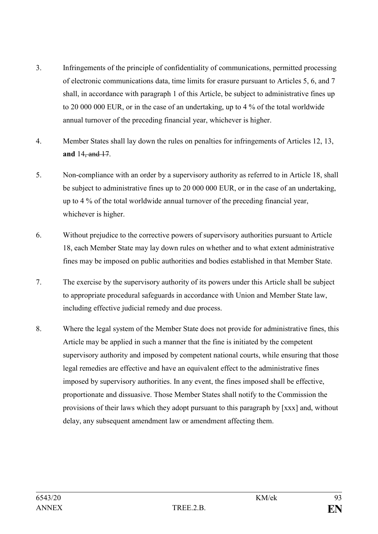- 3. Infringements of the principle of confidentiality of communications, permitted processing of electronic communications data, time limits for erasure pursuant to Articles 5, 6, and 7 shall, in accordance with paragraph 1 of this Article, be subject to administrative fines up to 20 000 000 EUR, or in the case of an undertaking, up to 4 % of the total worldwide annual turnover of the preceding financial year, whichever is higher.
- 4. Member States shall lay down the rules on penalties for infringements of Articles 12, 13, **and** 14, and 17.
- 5. Non-compliance with an order by a supervisory authority as referred to in Article 18, shall be subject to administrative fines up to 20 000 000 EUR, or in the case of an undertaking, up to 4 % of the total worldwide annual turnover of the preceding financial year, whichever is higher.
- 6. Without prejudice to the corrective powers of supervisory authorities pursuant to Article 18, each Member State may lay down rules on whether and to what extent administrative fines may be imposed on public authorities and bodies established in that Member State.
- 7. The exercise by the supervisory authority of its powers under this Article shall be subject to appropriate procedural safeguards in accordance with Union and Member State law, including effective judicial remedy and due process.
- 8. Where the legal system of the Member State does not provide for administrative fines, this Article may be applied in such a manner that the fine is initiated by the competent supervisory authority and imposed by competent national courts, while ensuring that those legal remedies are effective and have an equivalent effect to the administrative fines imposed by supervisory authorities. In any event, the fines imposed shall be effective, proportionate and dissuasive. Those Member States shall notify to the Commission the provisions of their laws which they adopt pursuant to this paragraph by [xxx] and, without delay, any subsequent amendment law or amendment affecting them.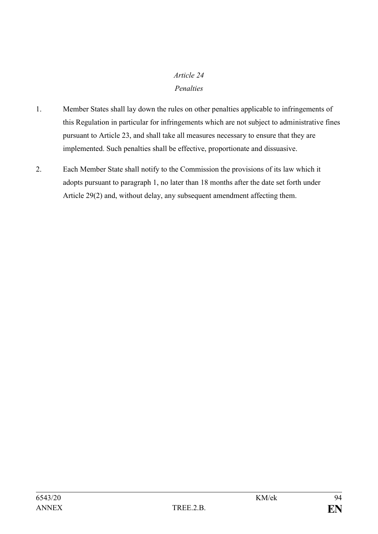## *Article 24 Penalties*

- 1. Member States shall lay down the rules on other penalties applicable to infringements of this Regulation in particular for infringements which are not subject to administrative fines pursuant to Article 23, and shall take all measures necessary to ensure that they are implemented. Such penalties shall be effective, proportionate and dissuasive.
- 2. Each Member State shall notify to the Commission the provisions of its law which it adopts pursuant to paragraph 1, no later than 18 months after the date set forth under Article 29(2) and, without delay, any subsequent amendment affecting them.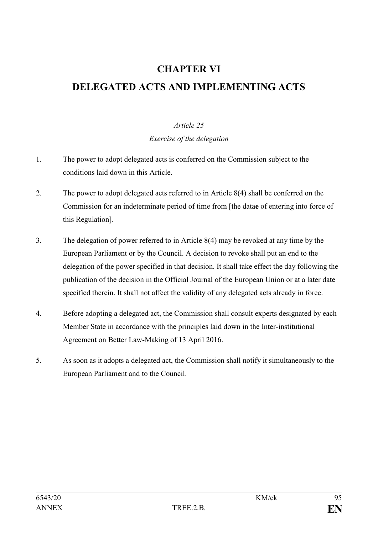# **CHAPTER VI DELEGATED ACTS AND IMPLEMENTING ACTS**

### *Article 25*

*Exercise of the delegation*

- 1. The power to adopt delegated acts is conferred on the Commission subject to the conditions laid down in this Article.
- 2. The power to adopt delegated acts referred to in Article 8(4) shall be conferred on the Commission for an indeterminate period of time from [the data**e** of entering into force of this Regulation].
- 3. The delegation of power referred to in Article 8(4) may be revoked at any time by the European Parliament or by the Council. A decision to revoke shall put an end to the delegation of the power specified in that decision. It shall take effect the day following the publication of the decision in the Official Journal of the European Union or at a later date specified therein. It shall not affect the validity of any delegated acts already in force.
- 4. Before adopting a delegated act, the Commission shall consult experts designated by each Member State in accordance with the principles laid down in the Inter-institutional Agreement on Better Law-Making of 13 April 2016.
- 5. As soon as it adopts a delegated act, the Commission shall notify it simultaneously to the European Parliament and to the Council.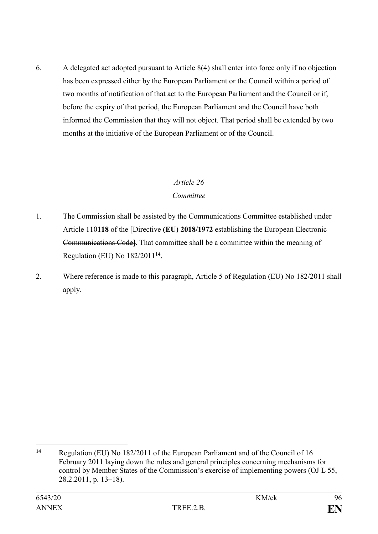6. A delegated act adopted pursuant to Article 8(4) shall enter into force only if no objection has been expressed either by the European Parliament or the Council within a period of two months of notification of that act to the European Parliament and the Council or if, before the expiry of that period, the European Parliament and the Council have both informed the Commission that they will not object. That period shall be extended by two months at the initiative of the European Parliament or of the Council.

### *Article 26*

### *Committee*

- 1. The Commission shall be assisted by the Communications Committee established under Article 110**118** of the [Directive **(EU) 2018/1972** establishing the European Electronic Communications Code]. That committee shall be a committee within the meaning of Regulation (EU) No 182/2011**<sup>14</sup>** .
- 2. Where reference is made to this paragraph, Article 5 of Regulation (EU) No 182/2011 shall apply.

 $14$ **<sup>14</sup>** Regulation (EU) No 182/2011 of the European Parliament and of the Council of 16 February 2011 laying down the rules and general principles concerning mechanisms for control by Member States of the Commission's exercise of implementing powers (OJ L 55, 28.2.2011, p. 13–18).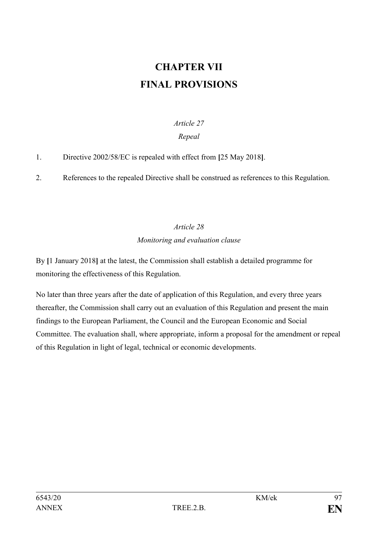# **CHAPTER VII FINAL PROVISIONS**

## *Article 27*

## *Repeal*

1. Directive 2002/58/EC is repealed with effect from **[**25 May 2018**]**.

2. References to the repealed Directive shall be construed as references to this Regulation.

# *Article 28 Monitoring and evaluation clause*

By **[**1 January 2018**]** at the latest, the Commission shall establish a detailed programme for monitoring the effectiveness of this Regulation.

No later than three years after the date of application of this Regulation, and every three years thereafter, the Commission shall carry out an evaluation of this Regulation and present the main findings to the European Parliament, the Council and the European Economic and Social Committee. The evaluation shall, where appropriate, inform a proposal for the amendment or repeal of this Regulation in light of legal, technical or economic developments.